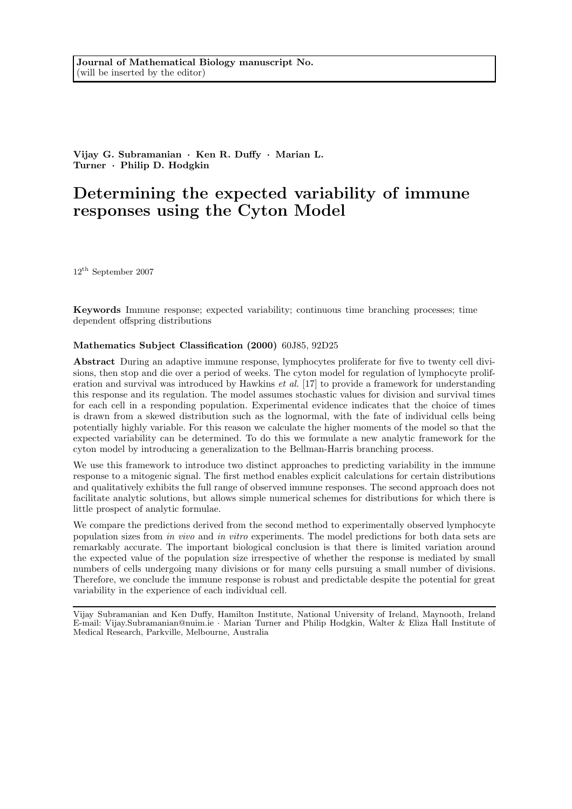Vijay G. Subramanian · Ken R. Duffy · Marian L. Turner · Philip D. Hodgkin

# Determining the expected variability of immune responses using the Cyton Model

12th September 2007

Keywords Immune response; expected variability; continuous time branching processes; time dependent offspring distributions

## Mathematics Subject Classification (2000) 60J85, 92D25

Abstract During an adaptive immune response, lymphocytes proliferate for five to twenty cell divisions, then stop and die over a period of weeks. The cyton model for regulation of lymphocyte proliferation and survival was introduced by Hawkins et al. [17] to provide a framework for understanding this response and its regulation. The model assumes stochastic values for division and survival times for each cell in a responding population. Experimental evidence indicates that the choice of times is drawn from a skewed distribution such as the lognormal, with the fate of individual cells being potentially highly variable. For this reason we calculate the higher moments of the model so that the expected variability can be determined. To do this we formulate a new analytic framework for the cyton model by introducing a generalization to the Bellman-Harris branching process.

We use this framework to introduce two distinct approaches to predicting variability in the immune response to a mitogenic signal. The first method enables explicit calculations for certain distributions and qualitatively exhibits the full range of observed immune responses. The second approach does not facilitate analytic solutions, but allows simple numerical schemes for distributions for which there is little prospect of analytic formulae.

We compare the predictions derived from the second method to experimentally observed lymphocyte population sizes from in vivo and in vitro experiments. The model predictions for both data sets are remarkably accurate. The important biological conclusion is that there is limited variation around the expected value of the population size irrespective of whether the response is mediated by small numbers of cells undergoing many divisions or for many cells pursuing a small number of divisions. Therefore, we conclude the immune response is robust and predictable despite the potential for great variability in the experience of each individual cell.

Vijay Subramanian and Ken Duffy, Hamilton Institute, National University of Ireland, Maynooth, Ireland E-mail: Vijay.Subramanian@nuim.ie · Marian Turner and Philip Hodgkin, Walter & Eliza Hall Institute of Medical Research, Parkville, Melbourne, Australia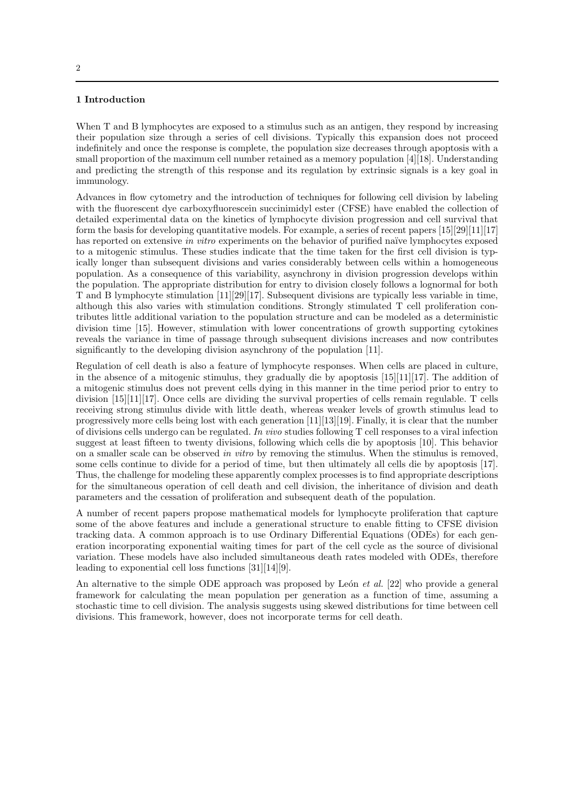# 1 Introduction

When T and B lymphocytes are exposed to a stimulus such as an antigen, they respond by increasing their population size through a series of cell divisions. Typically this expansion does not proceed indefinitely and once the response is complete, the population size decreases through apoptosis with a small proportion of the maximum cell number retained as a memory population [4][18]. Understanding and predicting the strength of this response and its regulation by extrinsic signals is a key goal in immunology.

Advances in flow cytometry and the introduction of techniques for following cell division by labeling with the fluorescent dye carboxyfluorescein succinimidyl ester (CFSE) have enabled the collection of detailed experimental data on the kinetics of lymphocyte division progression and cell survival that form the basis for developing quantitative models. For example, a series of recent papers [15][29][11][17] has reported on extensive in vitro experiments on the behavior of purified naïve lymphocytes exposed to a mitogenic stimulus. These studies indicate that the time taken for the first cell division is typically longer than subsequent divisions and varies considerably between cells within a homogeneous population. As a consequence of this variability, asynchrony in division progression develops within the population. The appropriate distribution for entry to division closely follows a lognormal for both T and B lymphocyte stimulation [11][29][17]. Subsequent divisions are typically less variable in time, although this also varies with stimulation conditions. Strongly stimulated T cell proliferation contributes little additional variation to the population structure and can be modeled as a deterministic division time [15]. However, stimulation with lower concentrations of growth supporting cytokines reveals the variance in time of passage through subsequent divisions increases and now contributes significantly to the developing division asynchrony of the population [11].

Regulation of cell death is also a feature of lymphocyte responses. When cells are placed in culture, in the absence of a mitogenic stimulus, they gradually die by apoptosis [15][11][17]. The addition of a mitogenic stimulus does not prevent cells dying in this manner in the time period prior to entry to division [15][11][17]. Once cells are dividing the survival properties of cells remain regulable. T cells receiving strong stimulus divide with little death, whereas weaker levels of growth stimulus lead to progressively more cells being lost with each generation [11][13][19]. Finally, it is clear that the number of divisions cells undergo can be regulated. In vivo studies following T cell responses to a viral infection suggest at least fifteen to twenty divisions, following which cells die by apoptosis [10]. This behavior on a smaller scale can be observed in vitro by removing the stimulus. When the stimulus is removed, some cells continue to divide for a period of time, but then ultimately all cells die by apoptosis [17]. Thus, the challenge for modeling these apparently complex processes is to find appropriate descriptions for the simultaneous operation of cell death and cell division, the inheritance of division and death parameters and the cessation of proliferation and subsequent death of the population.

A number of recent papers propose mathematical models for lymphocyte proliferation that capture some of the above features and include a generational structure to enable fitting to CFSE division tracking data. A common approach is to use Ordinary Differential Equations (ODEs) for each generation incorporating exponential waiting times for part of the cell cycle as the source of divisional variation. These models have also included simultaneous death rates modeled with ODEs, therefore leading to exponential cell loss functions [31][14][9].

An alternative to the simple ODE approach was proposed by León  $et$  al. [22] who provide a general framework for calculating the mean population per generation as a function of time, assuming a stochastic time to cell division. The analysis suggests using skewed distributions for time between cell divisions. This framework, however, does not incorporate terms for cell death.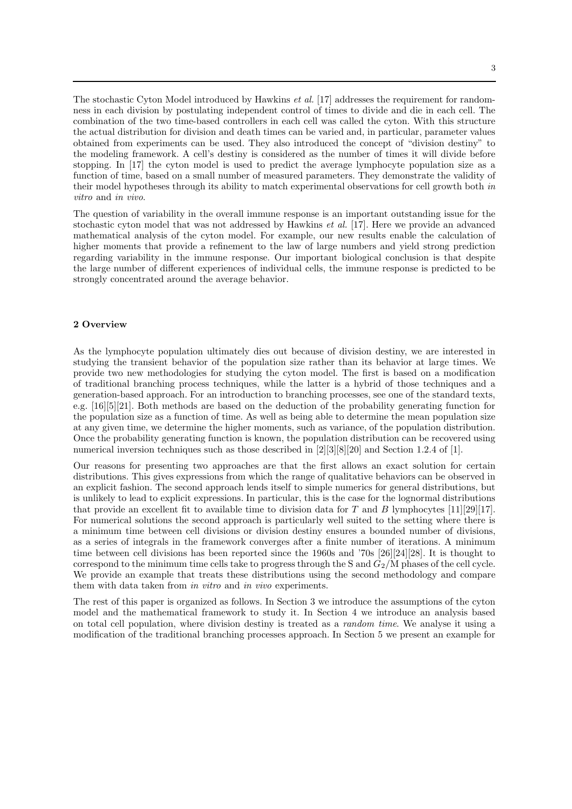The stochastic Cyton Model introduced by Hawkins *et al.* [17] addresses the requirement for randomness in each division by postulating independent control of times to divide and die in each cell. The combination of the two time-based controllers in each cell was called the cyton. With this structure the actual distribution for division and death times can be varied and, in particular, parameter values obtained from experiments can be used. They also introduced the concept of "division destiny" to the modeling framework. A cell's destiny is considered as the number of times it will divide before stopping. In [17] the cyton model is used to predict the average lymphocyte population size as a function of time, based on a small number of measured parameters. They demonstrate the validity of their model hypotheses through its ability to match experimental observations for cell growth both in vitro and in vivo.

The question of variability in the overall immune response is an important outstanding issue for the stochastic cyton model that was not addressed by Hawkins et al. [17]. Here we provide an advanced mathematical analysis of the cyton model. For example, our new results enable the calculation of higher moments that provide a refinement to the law of large numbers and yield strong prediction regarding variability in the immune response. Our important biological conclusion is that despite the large number of different experiences of individual cells, the immune response is predicted to be strongly concentrated around the average behavior.

#### 2 Overview

As the lymphocyte population ultimately dies out because of division destiny, we are interested in studying the transient behavior of the population size rather than its behavior at large times. We provide two new methodologies for studying the cyton model. The first is based on a modification of traditional branching process techniques, while the latter is a hybrid of those techniques and a generation-based approach. For an introduction to branching processes, see one of the standard texts, e.g. [16][5][21]. Both methods are based on the deduction of the probability generating function for the population size as a function of time. As well as being able to determine the mean population size at any given time, we determine the higher moments, such as variance, of the population distribution. Once the probability generating function is known, the population distribution can be recovered using numerical inversion techniques such as those described in [2][3][8][20] and Section 1.2.4 of [1].

Our reasons for presenting two approaches are that the first allows an exact solution for certain distributions. This gives expressions from which the range of qualitative behaviors can be observed in an explicit fashion. The second approach lends itself to simple numerics for general distributions, but is unlikely to lead to explicit expressions. In particular, this is the case for the lognormal distributions that provide an excellent fit to available time to division data for T and B lymphocytes [11][29][17]. For numerical solutions the second approach is particularly well suited to the setting where there is a minimum time between cell divisions or division destiny ensures a bounded number of divisions, as a series of integrals in the framework converges after a finite number of iterations. A minimum time between cell divisions has been reported since the 1960s and '70s [26][24][28]. It is thought to correspond to the minimum time cells take to progress through the S and  $G_2/M$  phases of the cell cycle. We provide an example that treats these distributions using the second methodology and compare them with data taken from in vitro and in vivo experiments.

The rest of this paper is organized as follows. In Section 3 we introduce the assumptions of the cyton model and the mathematical framework to study it. In Section 4 we introduce an analysis based on total cell population, where division destiny is treated as a random time. We analyse it using a modification of the traditional branching processes approach. In Section 5 we present an example for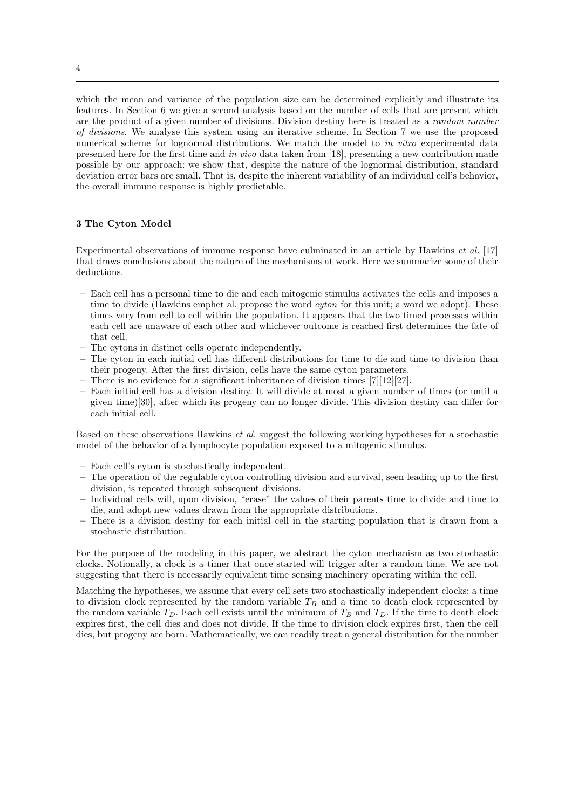which the mean and variance of the population size can be determined explicitly and illustrate its features. In Section 6 we give a second analysis based on the number of cells that are present which are the product of a given number of divisions. Division destiny here is treated as a *random number* of divisions. We analyse this system using an iterative scheme. In Section 7 we use the proposed numerical scheme for lognormal distributions. We match the model to *in vitro* experimental data presented here for the first time and in vivo data taken from [18], presenting a new contribution made possible by our approach: we show that, despite the nature of the lognormal distribution, standard deviation error bars are small. That is, despite the inherent variability of an individual cell's behavior, the overall immune response is highly predictable.

# 3 The Cyton Model

Experimental observations of immune response have culminated in an article by Hawkins et al. [17] that draws conclusions about the nature of the mechanisms at work. Here we summarize some of their deductions.

- Each cell has a personal time to die and each mitogenic stimulus activates the cells and imposes a time to divide (Hawkins emphet al. propose the word *cuton* for this unit; a word we adopt). These times vary from cell to cell within the population. It appears that the two timed processes within each cell are unaware of each other and whichever outcome is reached first determines the fate of that cell.
- The cytons in distinct cells operate independently.
- The cyton in each initial cell has different distributions for time to die and time to division than their progeny. After the first division, cells have the same cyton parameters.
- There is no evidence for a significant inheritance of division times  $[7][12][27]$ .
- Each initial cell has a division destiny. It will divide at most a given number of times (or until a given time)[30], after which its progeny can no longer divide. This division destiny can differ for each initial cell.

Based on these observations Hawkins *et al.* suggest the following working hypotheses for a stochastic model of the behavior of a lymphocyte population exposed to a mitogenic stimulus.

- Each cell's cyton is stochastically independent.
- The operation of the regulable cyton controlling division and survival, seen leading up to the first division, is repeated through subsequent divisions.
- Individual cells will, upon division, "erase" the values of their parents time to divide and time to die, and adopt new values drawn from the appropriate distributions.
- There is a division destiny for each initial cell in the starting population that is drawn from a stochastic distribution.

For the purpose of the modeling in this paper, we abstract the cyton mechanism as two stochastic clocks. Notionally, a clock is a timer that once started will trigger after a random time. We are not suggesting that there is necessarily equivalent time sensing machinery operating within the cell.

Matching the hypotheses, we assume that every cell sets two stochastically independent clocks: a time to division clock represented by the random variable  $T_B$  and a time to death clock represented by the random variable  $T_D$ . Each cell exists until the minimum of  $T_B$  and  $T_D$ . If the time to death clock expires first, the cell dies and does not divide. If the time to division clock expires first, then the cell dies, but progeny are born. Mathematically, we can readily treat a general distribution for the number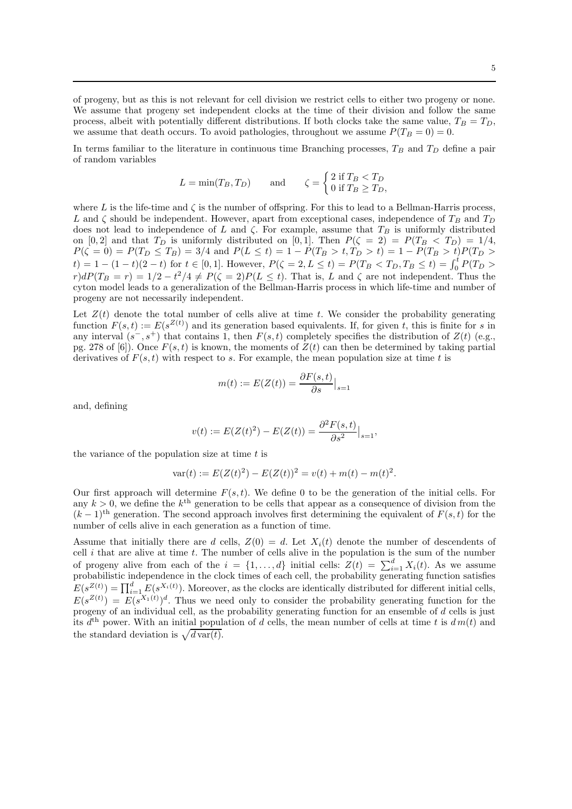of progeny, but as this is not relevant for cell division we restrict cells to either two progeny or none. We assume that progeny set independent clocks at the time of their division and follow the same process, albeit with potentially different distributions. If both clocks take the same value,  $T_B = T_D$ , we assume that death occurs. To avoid pathologies, throughout we assume  $P(T_B = 0) = 0$ .

In terms familiar to the literature in continuous time Branching processes,  $T_B$  and  $T_D$  define a pair of random variables

$$
L = \min(T_B, T_D) \quad \text{and} \quad \zeta = \begin{cases} 2 \text{ if } T_B < T_D \\ 0 \text{ if } T_B \ge T_D, \end{cases}
$$

where L is the life-time and  $\zeta$  is the number of offspring. For this to lead to a Bellman-Harris process, L and  $\zeta$  should be independent. However, apart from exceptional cases, independence of  $T_B$  and  $T_D$ does not lead to independence of L and  $\zeta$ . For example, assume that  $T_B$  is uniformly distributed on [0, 2] and that  $T_D$  is uniformly distributed on [0, 1]. Then  $P(\zeta = 2) = P(T_B \langle T_D \rangle = 1/4$ ,  $P(\zeta = 0) = P(T_D \le T_B) = 3/4$  and  $P(L \le t) = 1 - P(T_B > t, T_D > t) = 1 - P(T_B > t)P(T_D > t)$  $(t) = 1 - (1 - t)(2 - t)$  for  $t \in [0, 1]$ . However,  $P(\zeta = 2, L \le t) = P(T_B < T_D, T_B \le t) = \int_0^t P(T_D > t)$  $r)dP(T_B = r) = 1/2 - t^2/4 \neq P(\zeta = 2)P(L \leq t)$ . That is, L and  $\zeta$  are not independent. Thus the cyton model leads to a generalization of the Bellman-Harris process in which life-time and number of progeny are not necessarily independent.

Let  $Z(t)$  denote the total number of cells alive at time t. We consider the probability generating function  $F(s,t) := E(s^{Z(t)})$  and its generation based equivalents. If, for given t, this is finite for s in any interval  $(s^-, s^+)$  that contains 1, then  $F(s,t)$  completely specifies the distribution of  $Z(t)$  (e.g., pg. 278 of [6]). Once  $F(s,t)$  is known, the moments of  $Z(t)$  can then be determined by taking partial derivatives of  $F(s,t)$  with respect to s. For example, the mean population size at time t is

$$
m(t) := E(Z(t)) = \frac{\partial F(s, t)}{\partial s}\big|_{s=1}
$$

and, defining

$$
v(t) := E(Z(t)^{2}) - E(Z(t)) = \frac{\partial^{2} F(s, t)}{\partial s^{2}}|_{s=1},
$$

the variance of the population size at time  $t$  is

$$
var(t) := E(Z(t)^{2}) - E(Z(t))^{2} = v(t) + m(t) - m(t)^{2}.
$$

Our first approach will determine  $F(s,t)$ . We define 0 to be the generation of the initial cells. For any  $k > 0$ , we define the  $k<sup>th</sup>$  generation to be cells that appear as a consequence of division from the  $(k-1)$ <sup>th</sup> generation. The second approach involves first determining the equivalent of  $F(s,t)$  for the number of cells alive in each generation as a function of time.

Assume that initially there are d cells,  $Z(0) = d$ . Let  $X_i(t)$  denote the number of descendents of cell  $i$  that are alive at time  $t$ . The number of cells alive in the population is the sum of the number of progeny alive from each of the  $i = \{1, ..., d\}$  initial cells:  $Z(t) = \sum_{i=1}^{d} X_i(t)$ . As we assume probabilistic independence in the clock times of each cell, the probability generating function satisfies  $E(s^{Z(t)}) = \prod_{i=1}^{d} E(s^{X_i(t)})$ . Moreover, as the clocks are identically distributed for different initial cells,  $E(s^{Z(t)}) = E(s^{X_1(t)})^d$ . Thus we need only to consider the probability generating function for the progeny of an individual cell, as the probability generating function for an ensemble of d cells is just its  $d<sup>th</sup>$  power. With an initial population of d cells, the mean number of cells at time t is  $dm(t)$  and the standard deviation is  $\sqrt{d \text{var}(t)}$ .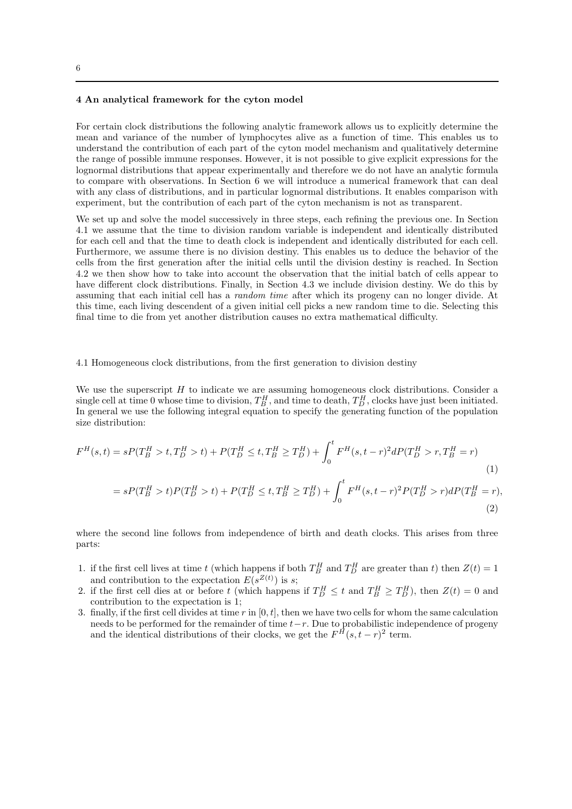## 4 An analytical framework for the cyton model

For certain clock distributions the following analytic framework allows us to explicitly determine the mean and variance of the number of lymphocytes alive as a function of time. This enables us to understand the contribution of each part of the cyton model mechanism and qualitatively determine the range of possible immune responses. However, it is not possible to give explicit expressions for the lognormal distributions that appear experimentally and therefore we do not have an analytic formula to compare with observations. In Section 6 we will introduce a numerical framework that can deal with any class of distributions, and in particular lognormal distributions. It enables comparison with experiment, but the contribution of each part of the cyton mechanism is not as transparent.

We set up and solve the model successively in three steps, each refining the previous one. In Section 4.1 we assume that the time to division random variable is independent and identically distributed for each cell and that the time to death clock is independent and identically distributed for each cell. Furthermore, we assume there is no division destiny. This enables us to deduce the behavior of the cells from the first generation after the initial cells until the division destiny is reached. In Section 4.2 we then show how to take into account the observation that the initial batch of cells appear to have different clock distributions. Finally, in Section 4.3 we include division destiny. We do this by assuming that each initial cell has a random time after which its progeny can no longer divide. At this time, each living descendent of a given initial cell picks a new random time to die. Selecting this final time to die from yet another distribution causes no extra mathematical difficulty.

4.1 Homogeneous clock distributions, from the first generation to division destiny

We use the superscript  $H$  to indicate we are assuming homogeneous clock distributions. Consider a single cell at time 0 whose time to division,  $T_B^H$ , and time to death,  $T_D^H$ , clocks have just been initiated. In general we use the following integral equation to specify the generating function of the population size distribution:

$$
F^{H}(s,t) = sP(T_{B}^{H} > t, T_{D}^{H} > t) + P(T_{D}^{H} \le t, T_{B}^{H} \ge T_{D}^{H}) + \int_{0}^{t} F^{H}(s, t - r)^{2} dP(T_{D}^{H} > r, T_{B}^{H} = r)
$$
\n(1)

$$
= sP(T_B^H > t)P(T_D^H > t) + P(T_D^H \le t, T_B^H \ge T_D^H) + \int_0^t F^H(s, t - r)^2 P(T_D^H > r) dP(T_B^H = r),
$$
\n(2)

where the second line follows from independence of birth and death clocks. This arises from three parts:

- 1. if the first cell lives at time t (which happens if both  $T_B^H$  and  $T_D^H$  are greater than t) then  $Z(t) = 1$ and contribution to the expectation  $E(s^{Z(t)})$  is s;
- 2. if the first cell dies at or before t (which happens if  $T_D^H \le t$  and  $T_B^H \ge T_D^H$ ), then  $Z(t) = 0$  and contribution to the expectation is 1;
- 3. finally, if the first cell divides at time r in  $[0, t]$ , then we have two cells for whom the same calculation needs to be performed for the remainder of time t−r. Due to probabilistic independence of progeny and the identical distributions of their clocks, we get the  $F^H(s, t - r)^2$  term.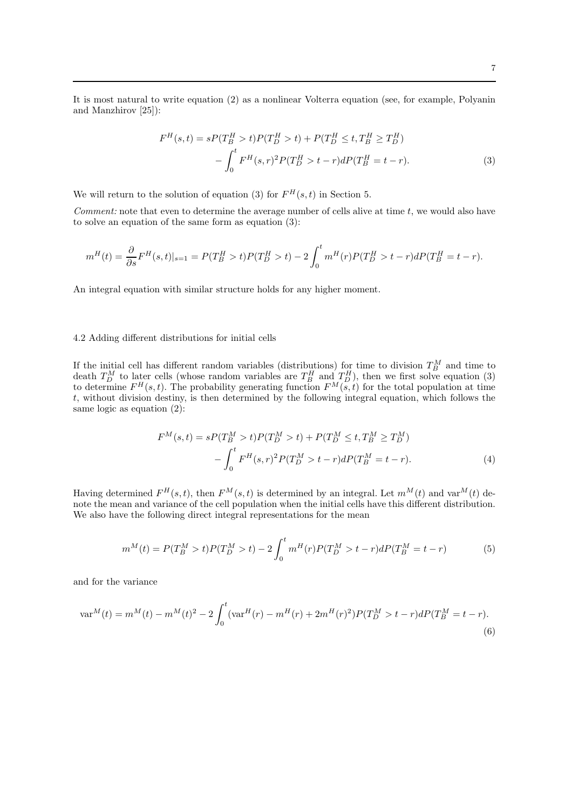It is most natural to write equation (2) as a nonlinear Volterra equation (see, for example, Polyanin and Manzhirov [25]):

$$
F^{H}(s,t) = sP(T_{B}^{H} > t)P(T_{D}^{H} > t) + P(T_{D}^{H} \leq t, T_{B}^{H} \geq T_{D}^{H})
$$

$$
- \int_{0}^{t} F^{H}(s,r)^{2} P(T_{D}^{H} > t - r) dP(T_{B}^{H} = t - r).
$$
(3)

We will return to the solution of equation (3) for  $F^H(s,t)$  in Section 5.

Comment: note that even to determine the average number of cells alive at time  $t$ , we would also have to solve an equation of the same form as equation (3):

$$
m^{H}(t) = \frac{\partial}{\partial s} F^{H}(s,t)|_{s=1} = P(T_{B}^{H} > t)P(T_{D}^{H} > t) - 2\int_{0}^{t} m^{H}(r)P(T_{D}^{H} > t - r)dP(T_{B}^{H} = t - r).
$$

An integral equation with similar structure holds for any higher moment.

#### 4.2 Adding different distributions for initial cells

If the initial cell has different random variables (distributions) for time to division  $T_B^M$  and time to death  $T_D^M$  to later cells (whose random variables are  $T_B^H$  and  $T_D^H$ ), then we first solve equation (3) to determine  $F^H(s,t)$ . The probability generating function  $F^M(s,t)$  for the total population at time  $t$ , without division destiny, is then determined by the following integral equation, which follows the same logic as equation (2):

$$
F^{M}(s,t) = sP(T_{B}^{M} > t)P(T_{D}^{M} > t) + P(T_{D}^{M} \leq t, T_{B}^{M} \geq T_{D}^{M})
$$

$$
- \int_{0}^{t} F^{H}(s,r)^{2} P(T_{D}^{M} > t - r) dP(T_{B}^{M} = t - r).
$$
(4)

Having determined  $F^{H}(s,t)$ , then  $F^{M}(s,t)$  is determined by an integral. Let  $m^{M}(t)$  and  $var^{M}(t)$  denote the mean and variance of the cell population when the initial cells have this different distribution. We also have the following direct integral representations for the mean

$$
m^{M}(t) = P(T_{B}^{M} > t)P(T_{D}^{M} > t) - 2\int_{0}^{t} m^{H}(r)P(T_{D}^{M} > t - r)dP(T_{B}^{M} = t - r)
$$
(5)

and for the variance

$$
\text{var}^{M}(t) = m^{M}(t) - m^{M}(t)^{2} - 2 \int_{0}^{t} (\text{var}^{H}(r) - m^{H}(r) + 2m^{H}(r)^{2}) P(T_{D}^{M} > t - r) dP(T_{B}^{M} = t - r).
$$
\n(6)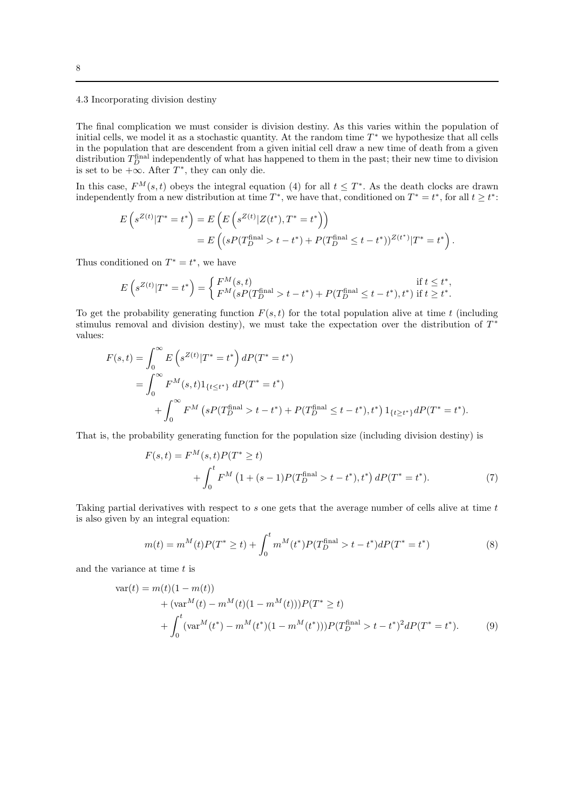4.3 Incorporating division destiny

The final complication we must consider is division destiny. As this varies within the population of initial cells, we model it as a stochastic quantity. At the random time  $T^*$  we hypothesize that all cells in the population that are descendent from a given initial cell draw a new time of death from a given distribution  $T_D^{\text{final}}$  independently of what has happened to them in the past; their new time to division is set to be  $+\infty$ . After  $T^*$ , they can only die.

In this case,  $F^{M}(s,t)$  obeys the integral equation (4) for all  $t \leq T^{*}$ . As the death clocks are drawn independently from a new distribution at time  $T^*$ , we have that, conditioned on  $T^* = t^*$ , for all  $t \geq t^*$ :

$$
E\left(s^{Z(t)}|T^* = t^*\right) = E\left(E\left(s^{Z(t)}|Z(t^*), T^* = t^*\right)\right)
$$
  
= 
$$
E\left((sP(T_D^{\text{final}} > t - t^*) + P(T_D^{\text{final}} \le t - t^*))^{Z(t^*)}|T^* = t^*\right).
$$

Thus conditioned on  $T^* = t^*$ , we have

$$
E\left(s^{Z(t)}|T^*=t^*\right) = \begin{cases} F^M(s,t) & \text{if } t \le t^*,\\ F^M(sP(T_D^{\text{final}} > t - t^*) + P(T_D^{\text{final}} \le t - t^*), t^*) & \text{if } t \ge t^*. \end{cases}
$$

To get the probability generating function  $F(s,t)$  for the total population alive at time t (including stimulus removal and division destiny), we must take the expectation over the distribution of  $T^*$ values:

$$
F(s,t) = \int_0^\infty E\left(s^{Z(t)}|T^* = t^*\right) dP(T^* = t^*)
$$
  
= 
$$
\int_0^\infty F^M(s,t) 1_{\{t \le t^*\}} dP(T^* = t^*)
$$
  
+ 
$$
\int_0^\infty F^M\left(sP(T_D^{\text{final}} > t - t^*) + P(T_D^{\text{final}} \le t - t^*), t^*\right) 1_{\{t \ge t^*\}} dP(T^* = t^*).
$$

That is, the probability generating function for the population size (including division destiny) is

$$
F(s,t) = F^{M}(s,t)P(T^{*} \ge t)
$$
  
+ 
$$
\int_{0}^{t} F^{M}(1+(s-1)P(T_{D}^{\text{final}}) > t-t^{*}), t^{*}) dP(T^{*} = t^{*}).
$$
 (7)

Taking partial derivatives with respect to s one gets that the average number of cells alive at time t is also given by an integral equation:

$$
m(t) = m^{M}(t)P(T^* \ge t) + \int_0^t m^{M}(t^*)P(T_D^{\text{final}} > t - t^*)dP(T^* = t^*)
$$
\n(8)

and the variance at time  $t$  is

$$
\begin{aligned} \text{var}(t) &= m(t)(1 - m(t)) \\ &+ (\text{var}^M(t) - m^M(t)(1 - m^M(t)))P(T^* \ge t) \\ &+ \int_0^t (\text{var}^M(t^*) - m^M(t^*)(1 - m^M(t^*)))P(T_D^{\text{final}} > t - t^*)^2 dP(T^* = t^*). \end{aligned} \tag{9}
$$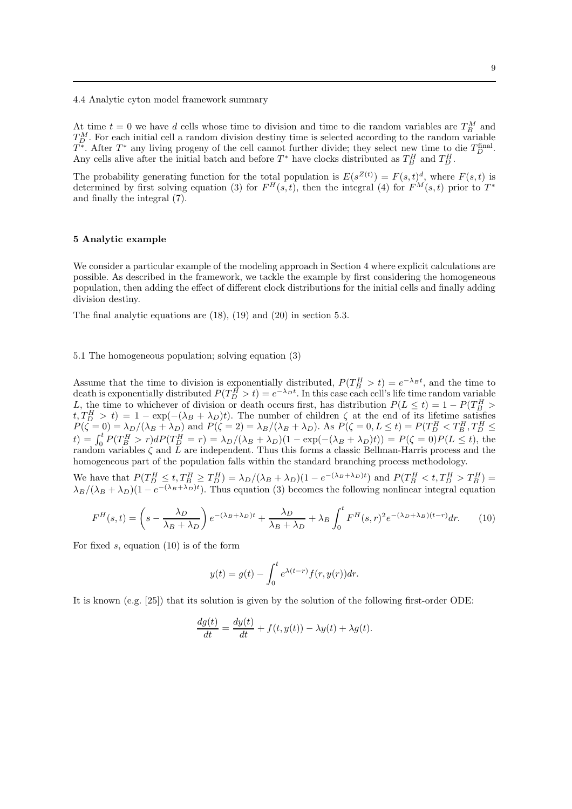4.4 Analytic cyton model framework summary

At time  $t = 0$  we have d cells whose time to division and time to die random variables are  $T_B^M$  and  $T_D^M$ . For each initial cell a random division destiny time is selected according to the random variable  $T^*$ . After  $T^*$  any living progeny of the cell cannot further divide; they select new time to die  $T_D^{\text{final}}$ . Any cells alive after the initial batch and before  $T^*$  have clocks distributed as  $T^H_B$  and  $T^H_D$ .

The probability generating function for the total population is  $E(s^{Z(t)}) = F(s,t)^d$ , where  $F(s,t)$  is determined by first solving equation (3) for  $F^H(s,t)$ , then the integral (4) for  $F^M(s,t)$  prior to  $T^*$ and finally the integral (7).

## 5 Analytic example

We consider a particular example of the modeling approach in Section 4 where explicit calculations are possible. As described in the framework, we tackle the example by first considering the homogeneous population, then adding the effect of different clock distributions for the initial cells and finally adding division destiny.

The final analytic equations are (18), (19) and (20) in section 5.3.

5.1 The homogeneous population; solving equation (3)

Assume that the time to division is exponentially distributed,  $P(T_B^H > t) = e^{-\lambda_B t}$ , and the time to death is exponentially distributed  $P(T_D^H > t) = e^{-\lambda_D t}$ . In this case each cell's life time random variable L, the time to whichever of division or death occurs first, has distribution  $P(L \le t) = 1 - P(T_B^H >$  $t, T_D^H > t$ ) = 1 – exp(-( $\lambda_B + \lambda_D$ )t). The number of children  $\zeta$  at the end of its lifetime satisfies  $P(\bar{\zeta} = 0) = \lambda_D/(\lambda_B + \lambda_D)$  and  $P(\zeta = 2) = \lambda_B/(\lambda_B + \lambda_D)$ . As  $P(\zeta = 0, L \le t) = P(T_D^H < T_B^H, T_D^H \le t)$  $g(t) = \int_0^t P(T_B^H > r) dP(T_D^H = r) = \lambda_D/(\lambda_B + \lambda_D)(1 - \exp(-( \lambda_B + \lambda_D)t)) = P(\zeta = 0)P(L \le t)$ , the random variables  $\zeta$  and  $\overline{L}$  are independent. Thus this forms a classic Bellman-Harris process and the homogeneous part of the population falls within the standard branching process methodology.

We have that  $P(T_D^H \leq t, T_B^H \geq T_D^H) = \lambda_D/(\lambda_B + \lambda_D)(1 - e^{-(\lambda_B + \lambda_D)t})$  and  $P(T_B^H < t, T_D^H > T_B^H) =$  $\lambda_B/(\lambda_B + \lambda_D)(1 - e^{-(\lambda_B + \lambda_D)t})$ . Thus equation (3) becomes the following nonlinear integral equation

$$
F^{H}(s,t) = \left(s - \frac{\lambda_{D}}{\lambda_{B} + \lambda_{D}}\right)e^{-(\lambda_{B} + \lambda_{D})t} + \frac{\lambda_{D}}{\lambda_{B} + \lambda_{D}} + \lambda_{B}\int_{0}^{t} F^{H}(s,r)^{2}e^{-(\lambda_{D} + \lambda_{B})(t-r)}dr.
$$
 (10)

For fixed  $s$ , equation  $(10)$  is of the form

$$
y(t) = g(t) - \int_0^t e^{\lambda(t-r)} f(r, y(r)) dr.
$$

It is known (e.g. [25]) that its solution is given by the solution of the following first-order ODE:

$$
\frac{dg(t)}{dt} = \frac{dy(t)}{dt} + f(t, y(t)) - \lambda y(t) + \lambda g(t).
$$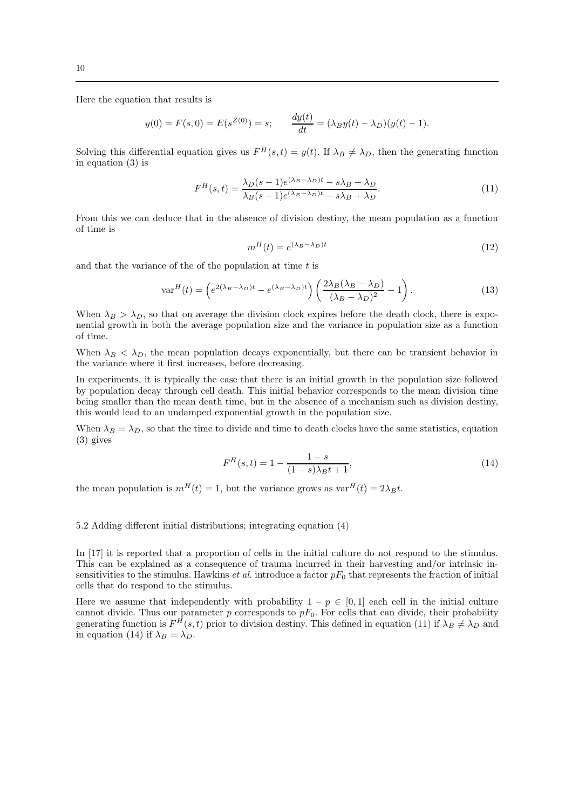Here the equation that results is

$$
y(0) = F(s, 0) = E(s^{Z(0)}) = s;
$$
 
$$
\frac{dy(t)}{dt} = (\lambda_B y(t) - \lambda_D)(y(t) - 1).
$$

Solving this differential equation gives us  $F^H(s,t) = y(t)$ . If  $\lambda_B \neq \lambda_D$ , then the generating function in equation (3) is

$$
F^{H}(s,t) = \frac{\lambda_{D}(s-1)e^{(\lambda_{B}-\lambda_{D})t} - s\lambda_{B} + \lambda_{D}}{\lambda_{B}(s-1)e^{(\lambda_{B}-\lambda_{D})t} - s\lambda_{B} + \lambda_{D}}.
$$
\n(11)

From this we can deduce that in the absence of division destiny, the mean population as a function of time is

$$
m^H(t) = e^{(\lambda_B - \lambda_D)t} \tag{12}
$$

and that the variance of the of the population at time  $t$  is

$$
\text{var}^H(t) = \left(e^{2(\lambda_B - \lambda_D)t} - e^{(\lambda_B - \lambda_D)t}\right) \left(\frac{2\lambda_B(\lambda_B - \lambda_D)}{(\lambda_B - \lambda_D)^2} - 1\right). \tag{13}
$$

When  $\lambda_B > \lambda_D$ , so that on average the division clock expires before the death clock, there is exponential growth in both the average population size and the variance in population size as a function of time.

When  $\lambda_B < \lambda_D$ , the mean population decays exponentially, but there can be transient behavior in the variance where it first increases, before decreasing.

In experiments, it is typically the case that there is an initial growth in the population size followed by population decay through cell death. This initial behavior corresponds to the mean division time being smaller than the mean death time, but in the absence of a mechanism such as division destiny, this would lead to an undamped exponential growth in the population size.

When  $\lambda_B = \lambda_D$ , so that the time to divide and time to death clocks have the same statistics, equation (3) gives

$$
F^{H}(s,t) = 1 - \frac{1 - s}{(1 - s)\lambda_{B}t + 1},
$$
\n(14)

the mean population is  $m<sup>H</sup>(t) = 1$ , but the variance grows as var<sup>H</sup> $(t) = 2\lambda_B t$ .

5.2 Adding different initial distributions; integrating equation (4)

In [17] it is reported that a proportion of cells in the initial culture do not respond to the stimulus. This can be explained as a consequence of trauma incurred in their harvesting and/or intrinsic insensitivities to the stimulus. Hawkins *et al.* introduce a factor  $p_0$  that represents the fraction of initial cells that do respond to the stimulus.

Here we assume that independently with probability  $1 - p \in [0,1]$  each cell in the initial culture cannot divide. Thus our parameter p corresponds to  $p_{0}$ . For cells that can divide, their probability generating function is  $F^H(s,t)$  prior to division destiny. This defined in equation (11) if  $\lambda_B \neq \lambda_D$  and in equation (14) if  $\lambda_B = \lambda_D$ .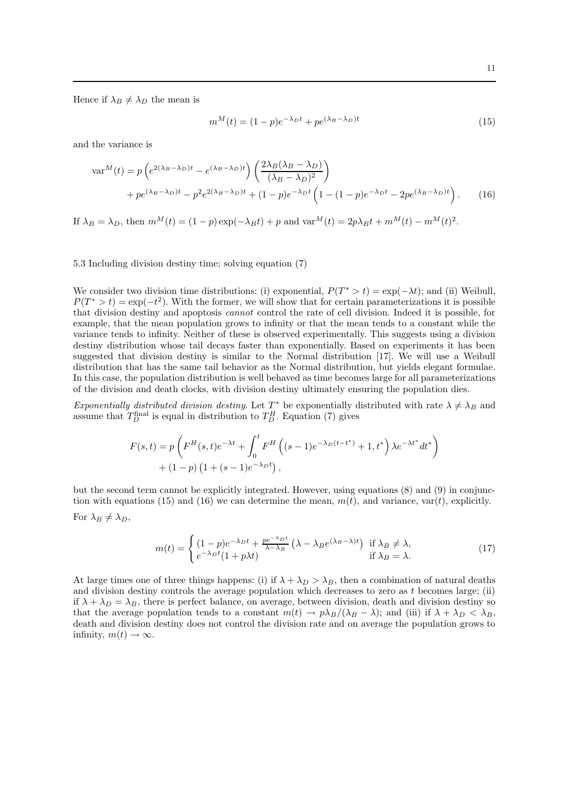Hence if  $\lambda_B \neq \lambda_D$  the mean is

$$
m^M(t) = (1 - p)e^{-\lambda_D t} + pe^{(\lambda_B - \lambda_D)t}
$$
\n(15)

and the variance is

$$
\operatorname{var}^{M}(t) = p \left( e^{2(\lambda_B - \lambda_D)t} - e^{(\lambda_B - \lambda_D)t} \right) \left( \frac{2\lambda_B(\lambda_B - \lambda_D)}{(\lambda_B - \lambda_D)^2} \right)
$$
  
+ 
$$
p e^{(\lambda_B - \lambda_D)t} - p^2 e^{2(\lambda_B - \lambda_D)t} + (1 - p)e^{-\lambda_D t} \left( 1 - (1 - p)e^{-\lambda_D t} - 2p e^{(\lambda_B - \lambda_D)t} \right).
$$
 (16)

If  $\lambda_B = \lambda_D$ , then  $m^M(t) = (1 - p) \exp(-\lambda_B t) + p$  and  $\text{var}^M(t) = 2p\lambda_B t + m^M(t) - m^M(t)^2$ .

5.3 Including division destiny time; solving equation (7)

We consider two division time distributions: (i) exponential,  $P(T^* > t) = \exp(-\lambda t)$ ; and (ii) Weibull,  $P(T^* > t) = \exp(-t^2)$ . With the former, we will show that for certain parameterizations it is possible that division destiny and apoptosis cannot control the rate of cell division. Indeed it is possible, for example, that the mean population grows to infinity or that the mean tends to a constant while the variance tends to infinity. Neither of these is observed experimentally. This suggests using a division destiny distribution whose tail decays faster than exponentially. Based on experiments it has been suggested that division destiny is similar to the Normal distribution [17]. We will use a Weibull distribution that has the same tail behavior as the Normal distribution, but yields elegant formulae. In this case, the population distribution is well behaved as time becomes large for all parameterizations of the division and death clocks, with division destiny ultimately ensuring the population dies.

Exponentially distributed division destiny. Let  $T^*$  be exponentially distributed with rate  $\lambda \neq \lambda_B$  and assume that  $T_D^{\text{final}}$  is equal in distribution to  $T_D^H$ . Equation (7) gives

$$
F(s,t) = p \left( F^{H}(s,t)e^{-\lambda t} + \int_{0}^{t} F^{H} \left( (s-1)e^{-\lambda_{D}(t-t^{*})} + 1, t^{*} \right) \lambda e^{-\lambda t^{*}} dt^{*} \right) + (1-p) \left( 1 + (s-1)e^{-\lambda_{D}t} \right),
$$

but the second term cannot be explicitly integrated. However, using equations (8) and (9) in conjunction with equations (15) and (16) we can determine the mean,  $m(t)$ , and variance, var(t), explicitly. For  $\lambda_B \neq \lambda_D$ ,

$$
m(t) = \begin{cases} (1-p)e^{-\lambda_D t} + \frac{pe^{-\lambda_D t}}{\lambda - \lambda_B} \left(\lambda - \lambda_B e^{(\lambda_B - \lambda)t}\right) & \text{if } \lambda_B \neq \lambda, \\ e^{-\lambda_D t} (1 + p\lambda t) & \text{if } \lambda_B = \lambda. \end{cases}
$$
(17)

At large times one of three things happens: (i) if  $\lambda + \lambda_D > \lambda_B$ , then a combination of natural deaths and division destiny controls the average population which decreases to zero as  $t$  becomes large; (ii) if  $\lambda + \lambda_D = \lambda_B$ , there is perfect balance, on average, between division, death and division destiny so that the average population tends to a constant  $m(t) \to p\lambda_B/(\lambda_B - \lambda)$ ; and (iii) if  $\lambda + \lambda_D < \lambda_B$ , death and division destiny does not control the division rate and on average the population grows to infinity,  $m(t) \rightarrow \infty$ .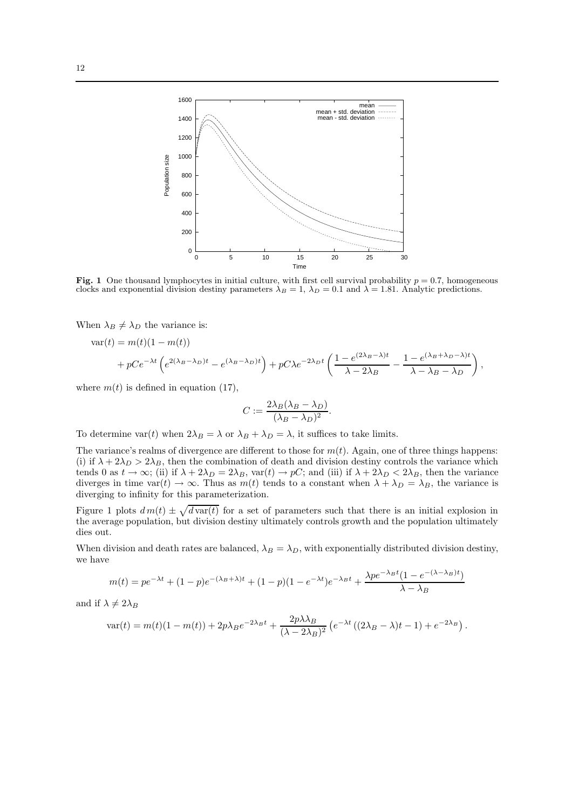

Fig. 1 One thousand lymphocytes in initial culture, with first cell survival probability  $p = 0.7$ , homogeneous clocks and exponential division destiny parameters  $\lambda_B = 1$ ,  $\lambda_D = 0.1$  and  $\lambda = 1.81$ . Analytic predictions.

When  $\lambda_B \neq \lambda_D$  the variance is:

$$
\begin{aligned} \n\text{var}(t) &= m(t)(1 - m(t)) \\ \n&+ pCe^{-\lambda t} \left( e^{2(\lambda_B - \lambda_D)t} - e^{(\lambda_B - \lambda_D)t} \right) + pC\lambda e^{-2\lambda_D t} \left( \frac{1 - e^{(2\lambda_B - \lambda)t}}{\lambda - 2\lambda_B} - \frac{1 - e^{(\lambda_B + \lambda_D - \lambda)t}}{\lambda - \lambda_B - \lambda_D} \right), \n\end{aligned}
$$

where  $m(t)$  is defined in equation (17),

$$
C := \frac{2\lambda_B(\lambda_B - \lambda_D)}{(\lambda_B - \lambda_D)^2}.
$$

To determine var(t) when  $2\lambda_B = \lambda$  or  $\lambda_B + \lambda_D = \lambda$ , it suffices to take limits.

The variance's realms of divergence are different to those for  $m(t)$ . Again, one of three things happens: (i) if  $\lambda + 2\lambda_D > 2\lambda_B$ , then the combination of death and division destiny controls the variance which tends 0 as  $t \to \infty$ ; (ii) if  $\lambda + 2\lambda_D = 2\lambda_B$ , var(t)  $\to pC$ ; and (iii) if  $\lambda + 2\lambda_D < 2\lambda_B$ , then the variance diverges in time var(t)  $\rightarrow \infty$ . Thus as  $m(t)$  tends to a constant when  $\lambda + \lambda_D = \lambda_B$ , the variance is diverging to infinity for this parameterization.

Figure 1 plots  $dm(t) \pm \sqrt{d \text{var}(t)}$  for a set of parameters such that there is an initial explosion in the average population, but division destiny ultimately controls growth and the population ultimately dies out.

When division and death rates are balanced,  $\lambda_B = \lambda_D$ , with exponentially distributed division destiny, we have

$$
m(t) = pe^{-\lambda t} + (1 - p)e^{-(\lambda_B + \lambda)t} + (1 - p)(1 - e^{-\lambda t})e^{-\lambda_B t} + \frac{\lambda pe^{-\lambda_B t}(1 - e^{-(\lambda - \lambda_B)t})}{\lambda - \lambda_B}
$$

and if  $\lambda \neq 2\lambda_B$ 

$$
\text{var}(t) = m(t)(1 - m(t)) + 2p\lambda_B e^{-2\lambda_B t} + \frac{2p\lambda\lambda_B}{(\lambda - 2\lambda_B)^2} \left( e^{-\lambda t} \left( (2\lambda_B - \lambda)t - 1 \right) + e^{-2\lambda_B} \right).
$$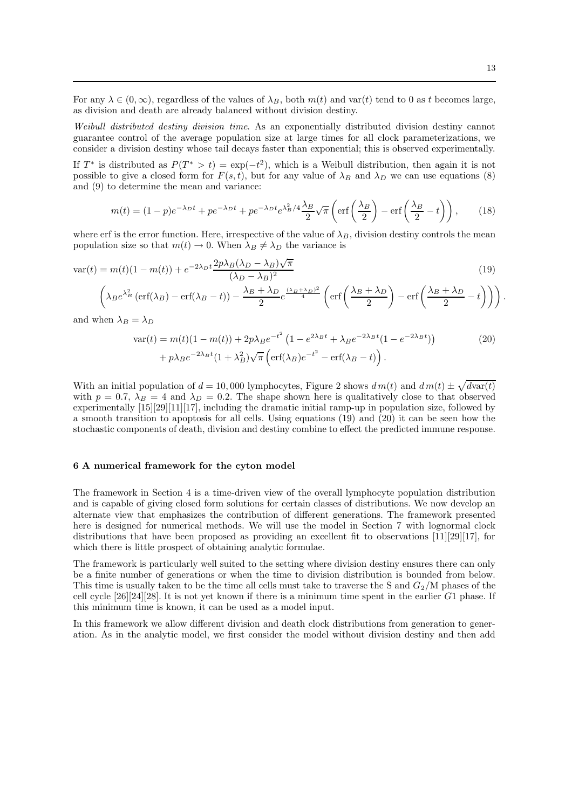For any  $\lambda \in (0,\infty)$ , regardless of the values of  $\lambda_B$ , both  $m(t)$  and var(t) tend to 0 as t becomes large, as division and death are already balanced without division destiny.

Weibull distributed destiny division time. As an exponentially distributed division destiny cannot guarantee control of the average population size at large times for all clock parameterizations, we consider a division destiny whose tail decays faster than exponential; this is observed experimentally.

If  $T^*$  is distributed as  $P(T^* > t) = \exp(-t^2)$ , which is a Weibull distribution, then again it is not possible to give a closed form for  $F(s,t)$ , but for any value of  $\lambda_B$  and  $\lambda_D$  we can use equations (8) and (9) to determine the mean and variance:

$$
m(t) = (1 - p)e^{-\lambda_D t} + pe^{-\lambda_D t} + pe^{-\lambda_D t}e^{\lambda_B^2/4} \frac{\lambda_B}{2} \sqrt{\pi} \left( \text{erf}\left(\frac{\lambda_B}{2}\right) - \text{erf}\left(\frac{\lambda_B}{2} - t\right) \right),\tag{18}
$$

where erf is the error function. Here, irrespective of the value of  $\lambda_B$ , division destiny controls the mean population size so that  $m(t) \to 0$ . When  $\lambda_B \neq \lambda_D$  the variance is

$$
\operatorname{var}(t) = m(t)(1 - m(t)) + e^{-2\lambda_D t} \frac{2p\lambda_B(\lambda_D - \lambda_B)\sqrt{\pi}}{(\lambda_D - \lambda_B)^2}
$$
(19)  

$$
\left(\lambda_B e^{\lambda_B^2} \left(\operatorname{erf}(\lambda_B) - \operatorname{erf}(\lambda_B - t)\right) - \frac{\lambda_B + \lambda_D}{2} e^{\frac{(\lambda_B + \lambda_D)^2}{4}} \left(\operatorname{erf}\left(\frac{\lambda_B + \lambda_D}{2}\right) - \operatorname{erf}\left(\frac{\lambda_B + \lambda_D}{2} - t\right)\right)\right)
$$

and when  $\lambda_B = \lambda_D$ 

$$
\begin{split} \text{var}(t) &= m(t)(1 - m(t)) + 2p\lambda_B e^{-t^2} \left(1 - e^{2\lambda_B t} + \lambda_B e^{-2\lambda_B t} (1 - e^{-2\lambda_B t})\right) \\ &+ p\lambda_B e^{-2\lambda_B t} (1 + \lambda_B^2) \sqrt{\pi} \left( \text{erf}(\lambda_B) e^{-t^2} - \text{erf}(\lambda_B - t) \right). \end{split} \tag{20}
$$

With an initial population of  $d = 10,000$  lymphocytes, Figure 2 shows  $dm(t)$  and  $dm(t) \pm \sqrt{d \text{var}(t)}$ with  $p = 0.7$ ,  $\lambda_B = 4$  and  $\lambda_D = 0.2$ . The shape shown here is qualitatively close to that observed experimentally [15][29][11][17], including the dramatic initial ramp-up in population size, followed by a smooth transition to apoptosis for all cells. Using equations (19) and (20) it can be seen how the stochastic components of death, division and destiny combine to effect the predicted immune response.

#### 6 A numerical framework for the cyton model

The framework in Section 4 is a time-driven view of the overall lymphocyte population distribution and is capable of giving closed form solutions for certain classes of distributions. We now develop an alternate view that emphasizes the contribution of different generations. The framework presented here is designed for numerical methods. We will use the model in Section 7 with lognormal clock distributions that have been proposed as providing an excellent fit to observations [11][29][17], for which there is little prospect of obtaining analytic formulae.

The framework is particularly well suited to the setting where division destiny ensures there can only be a finite number of generations or when the time to division distribution is bounded from below. This time is usually taken to be the time all cells must take to traverse the S and  $G_2/M$  phases of the cell cycle [26][24][28]. It is not yet known if there is a minimum time spent in the earlier G1 phase. If this minimum time is known, it can be used as a model input.

In this framework we allow different division and death clock distributions from generation to generation. As in the analytic model, we first consider the model without division destiny and then add

.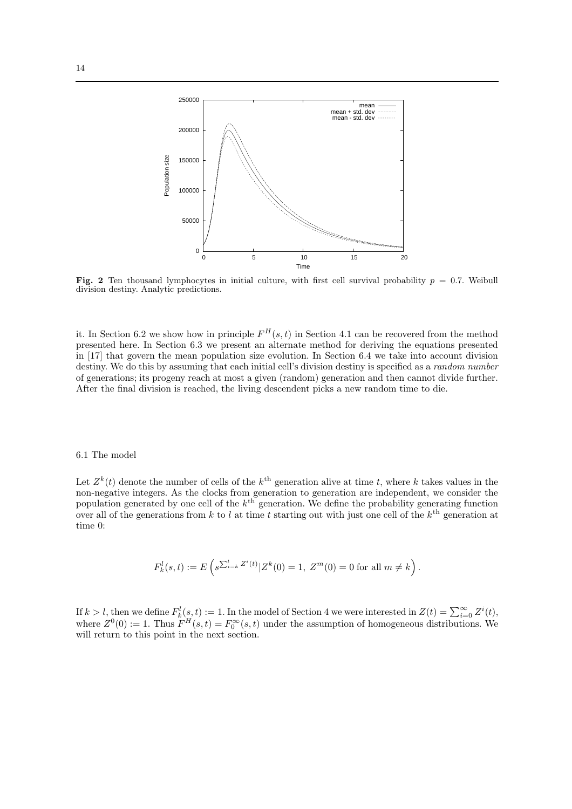

Fig. 2 Ten thousand lymphocytes in initial culture, with first cell survival probability  $p = 0.7$ . Weibull division destiny. Analytic predictions.

it. In Section 6.2 we show how in principle  $F^H(s,t)$  in Section 4.1 can be recovered from the method presented here. In Section 6.3 we present an alternate method for deriving the equations presented in [17] that govern the mean population size evolution. In Section 6.4 we take into account division destiny. We do this by assuming that each initial cell's division destiny is specified as a *random number* of generations; its progeny reach at most a given (random) generation and then cannot divide further. After the final division is reached, the living descendent picks a new random time to die.

## 6.1 The model

Let  $Z^k(t)$  denote the number of cells of the  $k^{\text{th}}$  generation alive at time t, where k takes values in the non-negative integers. As the clocks from generation to generation are independent, we consider the population generated by one cell of the  $k<sup>th</sup>$  generation. We define the probability generating function over all of the generations from k to l at time t starting out with just one cell of the  $k^{\text{th}}$  generation at time 0:

$$
F_k^l(s,t) := E\left(s^{\sum_{i=k}^l Z^i(t)} | Z^k(0) = 1, Z^m(0) = 0 \text{ for all } m \neq k\right).
$$

If  $k > l$ , then we define  $F_k^l(s,t) := 1$ . In the model of Section 4 we were interested in  $Z(t) = \sum_{i=0}^{\infty} Z^i(t)$ , where  $Z^0(0) := 1$ . Thus  $F^H(s,t) = F_0^{\infty}(s,t)$  under the assumption of homogeneous distributions. We will return to this point in the next section.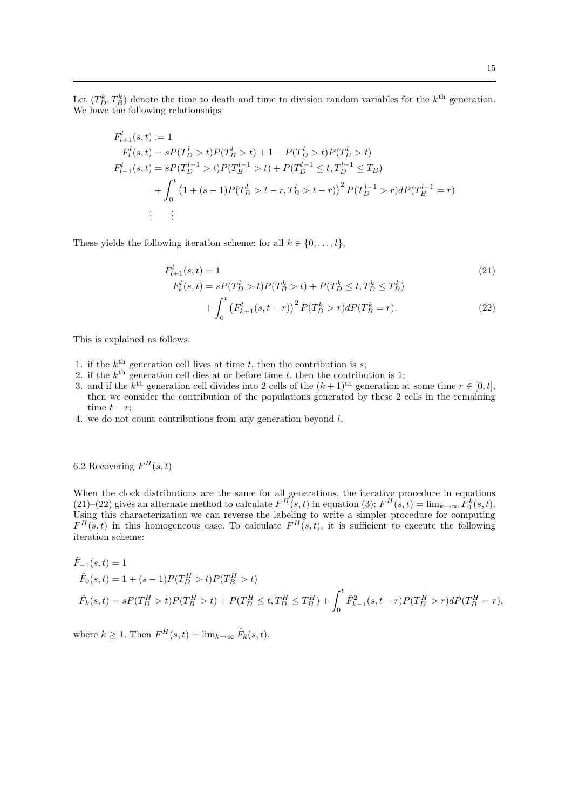Let  $(T_D^k, T_B^k)$  denote the time to death and time to division random variables for the  $k^{\text{th}}$  generation. We have the following relationships

$$
F_{l+1}^{l}(s,t) := 1
$$
  
\n
$$
F_{l}^{l}(s,t) = sP(T_{D}^{l} > t)P(T_{B}^{l} > t) + 1 - P(T_{D}^{l} > t)P(T_{B}^{l} > t)
$$
  
\n
$$
F_{l-1}^{l}(s,t) = sP(T_{D}^{l-1} > t)P(T_{B}^{l-1} > t) + P(T_{D}^{l-1} \le t, T_{D}^{l-1} \le T_{B})
$$
  
\n
$$
+ \int_{0}^{t} (1 + (s - 1)P(T_{D}^{l} > t - r, T_{B}^{l} > t - r))^{2} P(T_{D}^{l-1} > r) dP(T_{B}^{l-1} = r)
$$
  
\n
$$
\vdots \qquad \vdots
$$

These yields the following iteration scheme: for all  $k \in \{0, \ldots, l\}$ ,

$$
F_{l+1}^{l}(s,t) = 1
$$
  
\n
$$
F_{k}^{l}(s,t) = sP(T_{D}^{k} > t)P(T_{B}^{k} > t) + P(T_{D}^{k} \le t, T_{D}^{k} \le T_{B}^{k})
$$
\n(21)

$$
+\int_0^t \left(F_{k+1}^l(s,t-r)\right)^2 P(T_D^k > r) dP(T_B^k = r).
$$
\n(22)

This is explained as follows:

- 1. if the  $k^{\text{th}}$  generation cell lives at time t, then the contribution is s;
- 2. if the  $k^{\text{th}}$  generation cell dies at or before time t, then the contribution is 1;
- 3. and if the  $k^{\text{th}}$  generation cell divides into 2 cells of the  $(k+1)^{\text{th}}$  generation at some time  $r \in [0, t]$ , then we consider the contribution of the populations generated by these 2 cells in the remaining time  $t - r$ :
- 4. we do not count contributions from any generation beyond l.

6.2 Recovering  $F^H(s,t)$ 

When the clock distributions are the same for all generations, the iterative procedure in equations  $(21)-(22)$  gives an alternate method to calculate  $F^H(s,t)$  in equation  $(3)$ :  $F^H(s,t) = \lim_{k \to \infty} F_0^k(s,t)$ . Using this characterization we can reverse the labeling to write a simpler procedure for computing  $F^H(s,t)$  in this homogeneous case. To calculate  $F^H(s,t)$ , it is sufficient to execute the following iteration scheme:

$$
\tilde{F}_{-1}(s,t) = 1
$$
\n
$$
\tilde{F}_{0}(s,t) = 1 + (s-1)P(T_{D}^{H} > t)P(T_{B}^{H} > t)
$$
\n
$$
\tilde{F}_{k}(s,t) = sP(T_{D}^{H} > t)P(T_{B}^{H} > t) + P(T_{D}^{H} \le t, T_{D}^{H} \le T_{B}^{H}) + \int_{0}^{t} \tilde{F}_{k-1}^{2}(s,t-r)P(T_{D}^{H} > r)dP(T_{B}^{H} = r),
$$

where  $k \geq 1$ . Then  $F^H(s,t) = \lim_{k \to \infty} \tilde{F}_k(s,t)$ .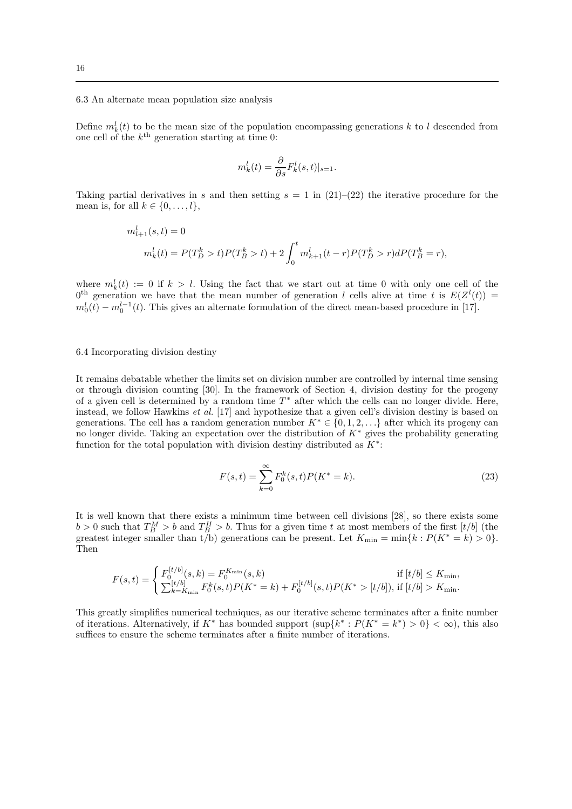#### 6.3 An alternate mean population size analysis

Define  $m_k^l(t)$  to be the mean size of the population encompassing generations k to l descended from one cell of the  $k^{\text{th}}$  generation starting at time 0:

$$
m_k^l(t) = \frac{\partial}{\partial s} F_k^l(s, t)|_{s=1}.
$$

Taking partial derivatives in s and then setting  $s = 1$  in (21)–(22) the iterative procedure for the mean is, for all  $k \in \{0, \ldots, l\},\$ 

$$
m_{l+1}^l(s,t) = 0
$$
  
\n
$$
m_k^l(t) = P(T_D^k > t)P(T_B^k > t) + 2 \int_0^t m_{k+1}^l(t-r)P(T_D^k > r)dP(T_B^k = r),
$$

where  $m_k^l(t) := 0$  if  $k > l$ . Using the fact that we start out at time 0 with only one cell of the  $0^{\text{th}}$  generation we have that the mean number of generation l cells alive at time t is  $E(Z^{l}(t))$  =  $m_0^l(t) - m_0^{l-1}(t)$ . This gives an alternate formulation of the direct mean-based procedure in [17].

## 6.4 Incorporating division destiny

It remains debatable whether the limits set on division number are controlled by internal time sensing or through division counting [30]. In the framework of Section 4, division destiny for the progeny of a given cell is determined by a random time  $T^*$  after which the cells can no longer divide. Here, instead, we follow Hawkins et al. [17] and hypothesize that a given cell's division destiny is based on generations. The cell has a random generation number  $K^* \in \{0, 1, 2, \ldots\}$  after which its progeny can no longer divide. Taking an expectation over the distribution of  $K^*$  gives the probability generating function for the total population with division destiny distributed as  $K^*$ :

$$
F(s,t) = \sum_{k=0}^{\infty} F_0^k(s,t) P(K^* = k).
$$
 (23)

It is well known that there exists a minimum time between cell divisions [28], so there exists some  $b > 0$  such that  $T_B^M > b$  and  $T_B^H > b$ . Thus for a given time t at most members of the first  $[t/b]$  (the greatest integer smaller than  $t/b$ ) generations can be present. Let  $K_{\min} = \min\{k : P(K^* = k) > 0\}.$ Then

$$
F(s,t) = \begin{cases} F_0^{[t/b]}(s,k) = F_0^{K_{\min}}(s,k) & \text{if } [t/b] \le K_{\min}, \\ \sum_{k=K_{\min}}^{[t/b]} F_0^k(s,t)P(K^* = k) + F_0^{[t/b]}(s,t)P(K^* > [t/b]), \text{if } [t/b] > K_{\min}. \end{cases}
$$

This greatly simplifies numerical techniques, as our iterative scheme terminates after a finite number of iterations. Alternatively, if  $K^*$  has bounded support  $(\sup\{k^*: P(K^* = k^*) > 0\} < \infty)$ , this also suffices to ensure the scheme terminates after a finite number of iterations.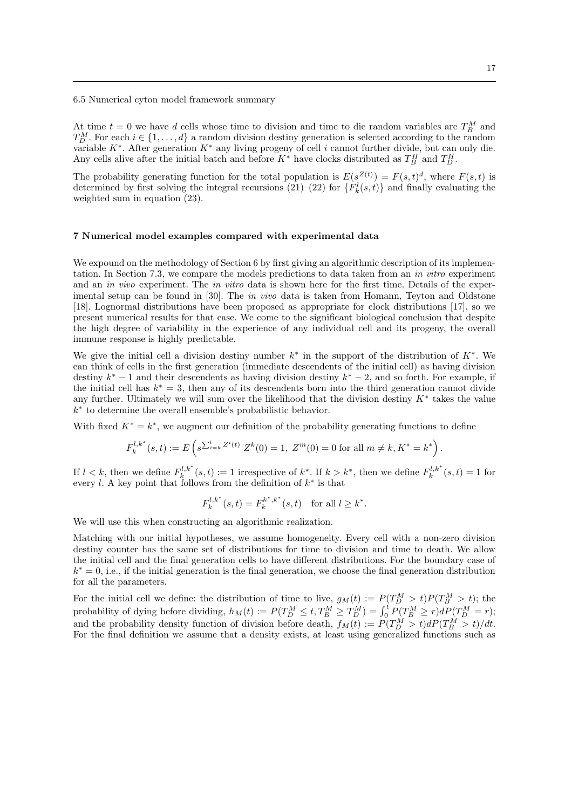6.5 Numerical cyton model framework summary

At time  $t = 0$  we have d cells whose time to division and time to die random variables are  $T_B^M$  and  $T_D^M$ . For each  $i \in \{1, ..., d\}$  a random division destiny generation is selected according to the random variable  $K^*$ . After generation  $K^*$  any living progeny of cell i cannot further divide, but can only die. Any cells alive after the initial batch and before  $K^*$  have clocks distributed as  $T_B^H$  and  $T_D^H$ .

The probability generating function for the total population is  $E(s^{Z(t)}) = F(s,t)^d$ , where  $F(s,t)$  is determined by first solving the integral recursions (21)–(22) for  ${F_k^l(s,t)}$  and finally evaluating the weighted sum in equation (23).

## 7 Numerical model examples compared with experimental data

We expound on the methodology of Section 6 by first giving an algorithmic description of its implementation. In Section 7.3, we compare the models predictions to data taken from an in vitro experiment and an in vivo experiment. The in vitro data is shown here for the first time. Details of the experimental setup can be found in [30]. The *in vivo* data is taken from Homann, Teyton and Oldstone [18]. Lognormal distributions have been proposed as appropriate for clock distributions [17], so we present numerical results for that case. We come to the significant biological conclusion that despite the high degree of variability in the experience of any individual cell and its progeny, the overall immune response is highly predictable.

We give the initial cell a division destiny number  $k^*$  in the support of the distribution of  $K^*$ . We can think of cells in the first generation (immediate descendents of the initial cell) as having division destiny  $k^* - 1$  and their descendents as having division destiny  $k^* - 2$ , and so forth. For example, if the initial cell has  $k^* = 3$ , then any of its descendents born into the third generation cannot divide any further. Ultimately we will sum over the likelihood that the division destiny  $K^*$  takes the value k ∗ to determine the overall ensemble's probabilistic behavior.

With fixed  $K^* = k^*$ , we augment our definition of the probability generating functions to define

$$
F_k^{l,k^*}(s,t) := E\left(s^{\sum_{i=k}^l Z^i(t)} | Z^k(0) = 1, Z^m(0) = 0 \text{ for all } m \neq k, K^* = k^*\right).
$$

If  $l < k$ , then we define  $F_k^{l,k^*}(s,t) := 1$  irrespective of  $k^*$ . If  $k > k^*$ , then we define  $F_k^{l,k^*}(s,t) = 1$  for every l. A key point that follows from the definition of  $k^*$  is that

$$
F_k^{l,k^*}(s,t) = F_k^{k^*,k^*}(s,t) \text{ for all } l \ge k^*.
$$

We will use this when constructing an algorithmic realization.

Matching with our initial hypotheses, we assume homogeneity. Every cell with a non-zero division destiny counter has the same set of distributions for time to division and time to death. We allow the initial cell and the final generation cells to have different distributions. For the boundary case of  $k^* = 0$ , i.e., if the initial generation is the final generation, we choose the final generation distribution for all the parameters.

For the initial cell we define: the distribution of time to live,  $g_M(t) := P(T_D^M > t)P(T_B^M > t)$ ; the probability of dying before dividing,  $h_M(t) := P(T_D^M \le t, T_B^M \ge T_D^M) = \int_0^t P(T_B^M \ge r) dP(T_D^M = r);$ and the probability density function of division before death,  $f_M(t) := P(T_D^M > t) dP(T_B^M > t)/dt$ . For the final definition we assume that a density exists, at least using generalized functions such as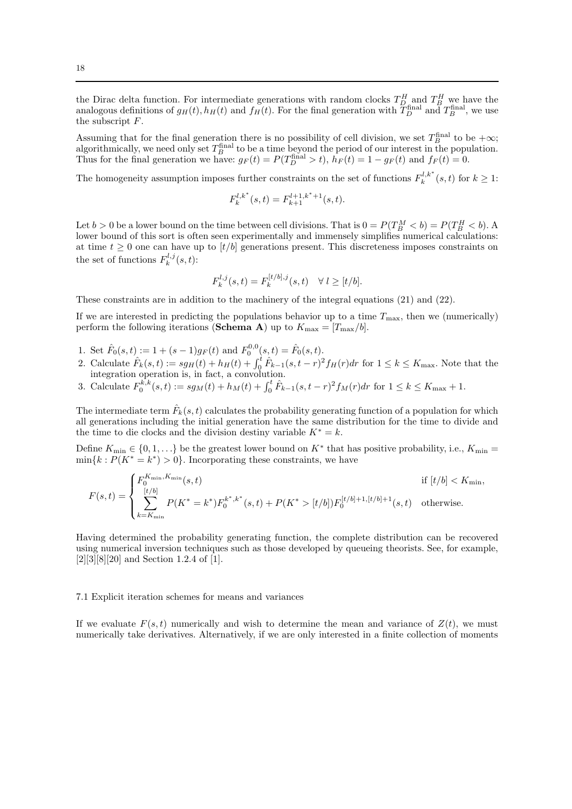the Dirac delta function. For intermediate generations with random clocks  $T_{D}^H$  and  $T_B^H$  we have the analogous definitions of  $g_H(t)$ ,  $h_H(t)$  and  $f_H(t)$ . For the final generation with  $\overline{T}_D^{\text{final}}$  and  $T_B^{\text{final}}$ , we use the subscript  $F$ .

Assuming that for the final generation there is no possibility of cell division, we set  $T_B^{\text{final}}$  to be  $+\infty$ ; algorithmically, we need only set  $T_B^{\text{final}}$  to be a time beyond the period of our interest in the population. Thus for the final generation we have:  $g_F(t) = P(T_D^{\text{final}} > t)$ ,  $h_F(t) = 1 - g_F(t)$  and  $f_F(t) = 0$ .

The homogeneity assumption imposes further constraints on the set of functions  $F_k^{l,k^*}(s,t)$  for  $k \geq 1$ :

$$
F_k^{l,k^*}(s,t) = F_{k+1}^{l+1,k^*+1}(s,t).
$$

Let  $b > 0$  be a lower bound on the time between cell divisions. That is  $0 = P(T_B^M < b) = P(T_B^H < b)$ . A lower bound of this sort is often seen experimentally and immensely simplifies numerical calculations: at time  $t \geq 0$  one can have up to  $[t/b]$  generations present. This discreteness imposes constraints on the set of functions  $F_k^{l,j}(s,t)$ :

$$
F_k^{l,j}(s,t) = F_k^{[t/b],j}(s,t) \quad \forall \ l \geq [t/b].
$$

These constraints are in addition to the machinery of the integral equations (21) and (22).

If we are interested in predicting the populations behavior up to a time  $T_{\text{max}}$ , then we (numerically) perform the following iterations (Schema A) up to  $K_{\text{max}} = [T_{\text{max}}/b]$ .

- 1. Set  $\hat{F}_0(s,t) := 1 + (s-1)g_F(t)$  and  $F_0^{0,0}(s,t) = \hat{F}_0(s,t)$ .
- 2. Calculate  $\hat{F}_k(s,t) := s g_H(t) + h_H(t) + \int_0^t \hat{F}_{k-1}(s,t-r)^2 f_H(r) dr$  for  $1 \leq k \leq K_{\text{max}}$ . Note that the integration operation is, in fact, a convolution.
- 3. Calculate  $F_0^{k,k}(s,t) := sg_M(t) + h_M(t) + \int_0^t \hat{F}_{k-1}(s,t-r)^2 f_M(r) dr$  for  $1 \leq k \leq K_{\max} + 1$ .

The intermediate term  $\hat{F}_k(s,t)$  calculates the probability generating function of a population for which all generations including the initial generation have the same distribution for the time to divide and the time to die clocks and the division destiny variable  $K^* = k$ .

Define  $K_{\min} \in \{0, 1, \ldots\}$  be the greatest lower bound on  $K^*$  that has positive probability, i.e.,  $K_{\min} =$  $\min\{k : P(K^* = k^*) > 0\}$ . Incorporating these constraints, we have

$$
F(s,t) = \begin{cases} F_0^{K_{\min}, K_{\min}}(s,t) & \text{if } [t/b] < K_{\min}, \\ \sum_{k=K_{\min}}^{[t/b]} P(K^* = k^*) F_0^{k^*,k^*}(s,t) + P(K^* > [t/b]) F_0^{[t/b]+1,[t/b]+1}(s,t) & \text{otherwise.} \end{cases}
$$

Having determined the probability generating function, the complete distribution can be recovered using numerical inversion techniques such as those developed by queueing theorists. See, for example,  $[2][3][8][20]$  and Section 1.2.4 of [1].

#### 7.1 Explicit iteration schemes for means and variances

If we evaluate  $F(s,t)$  numerically and wish to determine the mean and variance of  $Z(t)$ , we must numerically take derivatives. Alternatively, if we are only interested in a finite collection of moments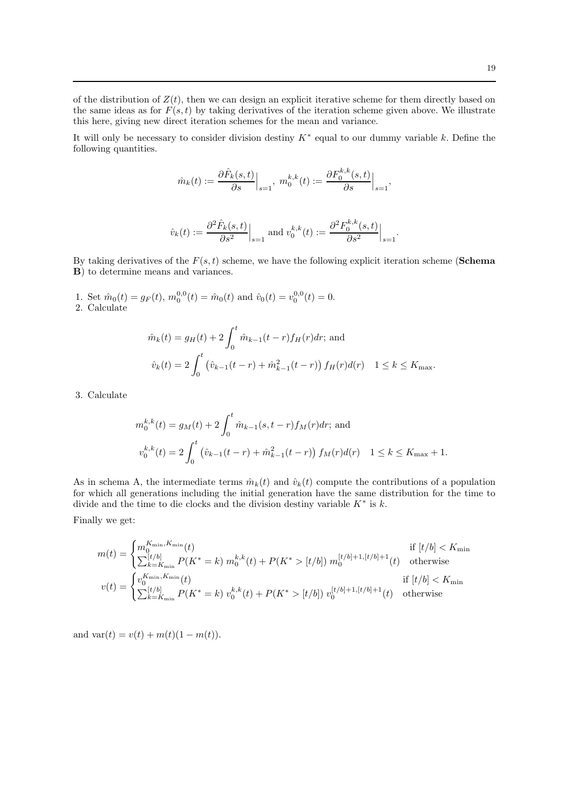of the distribution of  $Z(t)$ , then we can design an explicit iterative scheme for them directly based on the same ideas as for  $F(s,t)$  by taking derivatives of the iteration scheme given above. We illustrate this here, giving new direct iteration schemes for the mean and variance.

It will only be necessary to consider division destiny  $K^*$  equal to our dummy variable k. Define the following quantities.

$$
\hat{m}_k(t) := \frac{\partial \hat{F}_k(s,t)}{\partial s}\Big|_{s=1}, \ m_0^{k,k}(t) := \frac{\partial F_0^{k,k}(s,t)}{\partial s}\Big|_{s=1},
$$

$$
\hat{v}_k(t) := \frac{\partial^2 \hat{F}_k(s,t)}{\partial s^2}\Big|_{s=1} \text{ and } v_0^{k,k}(t) := \frac{\partial^2 F_0^{k,k}(s,t)}{\partial s^2}\Big|_{s=1}
$$

.

By taking derivatives of the  $F(s,t)$  scheme, we have the following explicit iteration scheme (Schema B) to determine means and variances.

1. Set  $\hat{m}_0(t) = g_F(t), m_0^{0,0}(t) = \hat{m}_0(t)$  and  $\hat{v}_0(t) = v_0^{0,0}(t) = 0$ . 2. Calculate

$$
\hat{m}_k(t) = g_H(t) + 2 \int_0^t \hat{m}_{k-1}(t-r) f_H(r) dr; \text{ and}
$$
  

$$
\hat{v}_k(t) = 2 \int_0^t \left( \hat{v}_{k-1}(t-r) + \hat{m}_{k-1}^2(t-r) \right) f_H(r) d(r) \quad 1 \le k \le K_{\text{max}}.
$$

3. Calculate

$$
m_0^{k,k}(t) = g_M(t) + 2 \int_0^t \hat{m}_{k-1}(s, t-r) f_M(r) dr; \text{ and}
$$
  

$$
v_0^{k,k}(t) = 2 \int_0^t \left( \hat{v}_{k-1}(t-r) + \hat{m}_{k-1}^2(t-r) \right) f_M(r) d(r) \quad 1 \le k \le K_{\text{max}} + 1.
$$

As in schema A, the intermediate terms  $\hat{m}_k(t)$  and  $\hat{v}_k(t)$  compute the contributions of a population for which all generations including the initial generation have the same distribution for the time to divide and the time to die clocks and the division destiny variable  $K^*$  is  $k$ .

Finally we get:

$$
m(t) = \begin{cases} m_0^{K_{\min}, K_{\min}}(t) & \text{if } [t/b] < K_{\min} \\ \sum_{k=K_{\min}}^{[t/b]} P(K^* = k) \ m_0^{k, k}(t) + P(K^* > [t/b]) \ m_0^{[t/b]+1, [t/b]+1}(t) & \text{otherwise} \end{cases}
$$
  

$$
v(t) = \begin{cases} v_0^{K_{\min}, K_{\min}}(t) & \text{if } [t/b] < K_{\min} \\ \sum_{k=K_{\min}}^{[t/b]} P(K^* = k) \ v_0^{k, k}(t) + P(K^* > [t/b]) \ v_0^{[t/b]+1, [t/b]+1}(t) & \text{otherwise} \end{cases}
$$

and var $(t) = v(t) + m(t)(1 - m(t)).$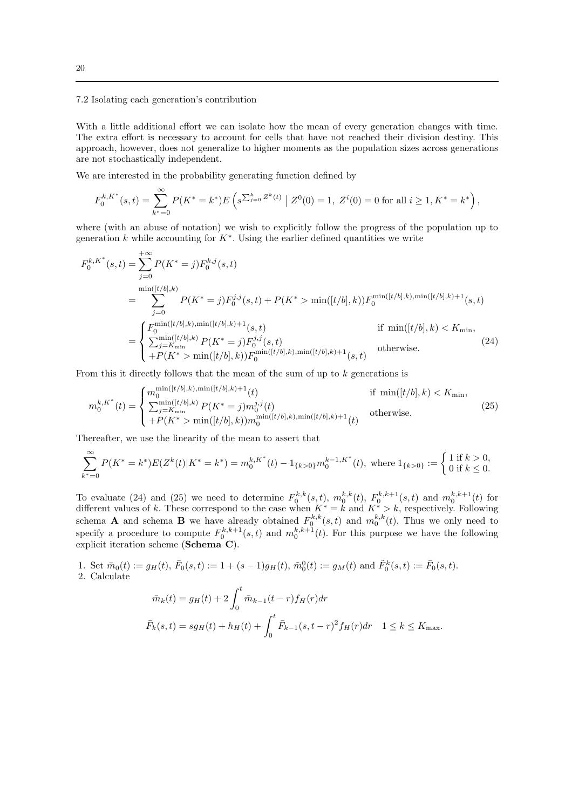7.2 Isolating each generation's contribution

With a little additional effort we can isolate how the mean of every generation changes with time. The extra effort is necessary to account for cells that have not reached their division destiny. This approach, however, does not generalize to higher moments as the population sizes across generations are not stochastically independent.

We are interested in the probability generating function defined by

$$
F_0^{k,K^*}(s,t) = \sum_{k^*=0}^{\infty} P(K^* = k^*) E\left(s^{\sum_{j=0}^k Z^k(t)} \mid Z^0(0) = 1, \ Z^i(0) = 0 \text{ for all } i \ge 1, K^* = k^*\right),
$$

where (with an abuse of notation) we wish to explicitly follow the progress of the population up to generation  $k$  while accounting for  $K^*$ . Using the earlier defined quantities we write

$$
F_0^{k,K^*}(s,t) = \sum_{j=0}^{+\infty} P(K^* = j) F_0^{k,j}(s,t)
$$
  
\n
$$
= \sum_{j=0}^{\min([t/b],k)} P(K^* = j) F_0^{j,j}(s,t) + P(K^* > \min([t/b],k)) F_0^{\min([t/b],k),\min([t/b],k)+1}(s,t)
$$
  
\n
$$
= \begin{cases} F_0^{\min([t/b],k),\min([t/b],k)+1}(s,t) & \text{if } \min([t/b],k) < K_{\min}, \\ \sum_{j=K_{\min}}^{j=\min([t/b],k)} P(K^* = j) F_0^{j,j}(s,t) & \text{otherwise.} \end{cases}
$$
(24)

From this it directly follows that the mean of the sum of up to  $k$  generations is

$$
m_0^{k,K^*}(t) = \begin{cases} m_0^{\min([t/b],k),\min([t/b],k)+1}(t) & \text{if } \min([t/b],k) < K_{\min}, \\ \sum_{j=K_{\min}}^{\min([t/b],k)} P(K^* = j) m_0^{j,j}(t) & \text{otherwise.} \\ +P(K^* > \min([t/b],k)) m_0^{\min([t/b],k),\min([t/b],k)+1}(t) & \text{otherwise.} \end{cases}
$$
(25)

Thereafter, we use the linearity of the mean to assert that

$$
\sum_{k^*=0}^{\infty} P(K^*=k^*) E(Z^k(t)|K^*=k^*) = m_0^{k,K^*}(t) - 1_{\{k>0\}} m_0^{k-1,K^*}(t), \text{ where } 1_{\{k>0\}} := \begin{cases} 1 \text{ if } k>0, \\ 0 \text{ if } k\leq 0. \end{cases}
$$

To evaluate (24) and (25) we need to determine  $F_0^{k,k}(s,t)$ ,  $m_0^{k,k}(t)$ ,  $F_0^{k,k+1}(s,t)$  and  $m_0^{k,k+1}(t)$  for different values of k. These correspond to the case when  $K^* = k$  and  $K^* > k$ , respectively. Following schema **A** and schema **B** we have already obtained  $F_0^{k,k}(s,t)$  and  $m_0^{k,k}(t)$ . Thus we only need to specify a procedure to compute  $F_0^{k,k+1}(s,t)$  and  $m_0^{k,k+1}(t)$ . For this purpose we have the following explicit iteration scheme (Schema C).

1. Set  $\bar{m}_0(t) := g_H(t), \ \bar{F}_0(s,t) := 1 + (s-1)g_H(t), \ \tilde{m}_0^0(t) := g_M(t)$  and  $\tilde{F}_0^k(s,t) := \bar{F}_0(s,t)$ . 2. Calculate

$$
\bar{m}_k(t) = g_H(t) + 2 \int_0^t \bar{m}_{k-1}(t-r) f_H(r) dr
$$
  

$$
\bar{F}_k(s,t) = s g_H(t) + h_H(t) + \int_0^t \bar{F}_{k-1}(s,t-r)^2 f_H(r) dr \quad 1 \le k \le K_{\text{max}}.
$$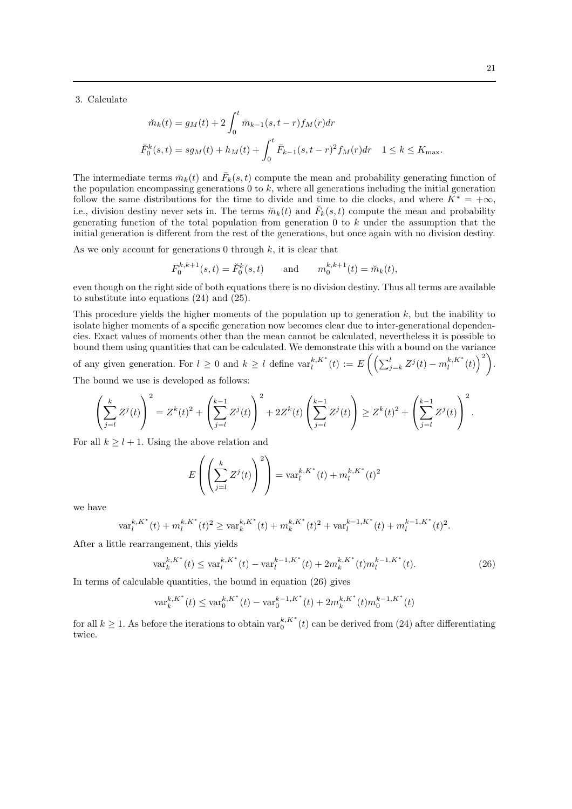21

3. Calculate

$$
\tilde{m}_k(t) = g_M(t) + 2 \int_0^t \bar{m}_{k-1}(s, t-r) f_M(r) dr
$$
  

$$
\tilde{F}_0^k(s, t) = s g_M(t) + h_M(t) + \int_0^t \bar{F}_{k-1}(s, t-r)^2 f_M(r) dr \quad 1 \le k \le K_{\text{max}}.
$$

The intermediate terms  $\bar{m}_k(t)$  and  $\bar{F}_k(s,t)$  compute the mean and probability generating function of the population encompassing generations  $0$  to  $k$ , where all generations including the initial generation follow the same distributions for the time to divide and time to die clocks, and where  $K^* = +\infty$ , i.e., division destiny never sets in. The terms  $\breve{m}_k(t)$  and  $\breve{F}_k(s,t)$  compute the mean and probability generating function of the total population from generation  $0$  to  $k$  under the assumption that the initial generation is different from the rest of the generations, but once again with no division destiny.

As we only account for generations  $0$  through  $k$ , it is clear that

$$
F_0^{k,k+1}(s,t) = \breve{F}_0^k(s,t)
$$
 and  $m_0^{k,k+1}(t) = \breve{m}_k(t)$ ,

even though on the right side of both equations there is no division destiny. Thus all terms are available to substitute into equations (24) and (25).

This procedure yields the higher moments of the population up to generation  $k$ , but the inability to isolate higher moments of a specific generation now becomes clear due to inter-generational dependencies. Exact values of moments other than the mean cannot be calculated, nevertheless it is possible to bound them using quantities that can be calculated. We demonstrate this with a bound on the variance

of any given generation. For  $l \geq 0$  and  $k \geq l$  define  $\text{var}_{l}^{k,K^*}(t) := E\left(\left(\sum_{j=k}^{l} Z^j(t) - m_l^{k,K^*}(t)\right)^2\right)$ .

The bound we use is developed as follows:

$$
\left(\sum_{j=l}^k Z^j(t)\right)^2 = Z^k(t)^2 + \left(\sum_{j=l}^{k-1} Z^j(t)\right)^2 + 2Z^k(t)\left(\sum_{j=l}^{k-1} Z^j(t)\right) \ge Z^k(t)^2 + \left(\sum_{j=l}^{k-1} Z^j(t)\right)^2.
$$

For all  $k \geq l + 1$ . Using the above relation and

$$
E\left(\left(\sum_{j=l}^{k} Z^{j}(t)\right)^{2}\right) = \text{var}_{l}^{k,K^{*}}(t) + m_{l}^{k,K^{*}}(t)^{2}
$$

we have

$$
\text{var}_{l}^{k,K^*}(t) + m_l^{k,K^*}(t)^2 \ge \text{var}_{k}^{k,K^*}(t) + m_k^{k,K^*}(t)^2 + \text{var}_{l}^{k-1,K^*}(t) + m_l^{k-1,K^*}(t)^2.
$$

After a little rearrangement, this yields

$$
\operatorname{var}_{k}^{k,K^*}(t) \le \operatorname{var}_{l}^{k,K^*}(t) - \operatorname{var}_{l}^{k-1,K^*}(t) + 2m_{k}^{k,K^*}(t)m_{l}^{k-1,K^*}(t). \tag{26}
$$

In terms of calculable quantities, the bound in equation (26) gives

$$
\text{var}_{k}^{k,K^*}(t) \leq \text{var}_{0}^{k,K^*}(t) - \text{var}_{0}^{k-1,K^*}(t) + 2m_{k}^{k,K^*}(t)m_{0}^{k-1,K^*}(t)
$$

for all  $k \geq 1$ . As before the iterations to obtain  $var_0^{k,K^*}(t)$  can be derived from (24) after differentiating twice.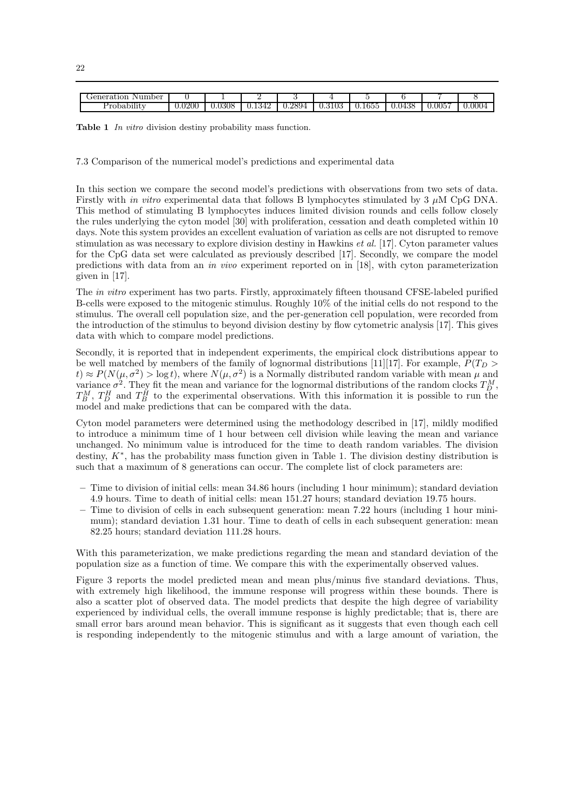| Number<br>$.$ $-$ ener $\degree$<br>atıon<br><b>.</b> |           |            |                  |                                     |               |                           |                         |        |       |
|-------------------------------------------------------|-----------|------------|------------------|-------------------------------------|---------------|---------------------------|-------------------------|--------|-------|
| babilit <sup>,</sup>                                  | 0200<br>. | ${0.0308}$ | $\Omega$<br>-341 | ററെ<br>ч<br>-<br>$J \cdot \Delta U$ | വ വ<br>v.v±vJ | $\overline{AB}$<br>Մ.1655 | 10C<br>⌒<br>740c<br>∪.∈ | 0.0057 | .0004 |

Table 1 In vitro division destiny probability mass function.

7.3 Comparison of the numerical model's predictions and experimental data

In this section we compare the second model's predictions with observations from two sets of data. Firstly with in vitro experimental data that follows B lymphocytes stimulated by  $3 \mu M$  CpG DNA. This method of stimulating B lymphocytes induces limited division rounds and cells follow closely the rules underlying the cyton model [30] with proliferation, cessation and death completed within 10 days. Note this system provides an excellent evaluation of variation as cells are not disrupted to remove stimulation as was necessary to explore division destiny in Hawkins et al. [17]. Cyton parameter values for the CpG data set were calculated as previously described [17]. Secondly, we compare the model predictions with data from an in vivo experiment reported on in [18], with cyton parameterization given in [17].

The in vitro experiment has two parts. Firstly, approximately fifteen thousand CFSE-labeled purified B-cells were exposed to the mitogenic stimulus. Roughly 10% of the initial cells do not respond to the stimulus. The overall cell population size, and the per-generation cell population, were recorded from the introduction of the stimulus to beyond division destiny by flow cytometric analysis [17]. This gives data with which to compare model predictions.

Secondly, it is reported that in independent experiments, the empirical clock distributions appear to be well matched by members of the family of lognormal distributions [11][17]. For example,  $P(T_D >$  $t) \approx P(N(\mu, \sigma^2) > \log t)$ , where  $N(\mu, \sigma^2)$  is a Normally distributed random variable with mean  $\mu$  and variance  $\sigma^2$ . They fit the mean and variance for the lognormal distributions of the random clocks  $T_D^M$ ,  $T_B^M$ ,  $T_D^H$  and  $T_B^H$  to the experimental observations. With this information it is possible to run the model and make predictions that can be compared with the data.

Cyton model parameters were determined using the methodology described in [17], mildly modified to introduce a minimum time of 1 hour between cell division while leaving the mean and variance unchanged. No minimum value is introduced for the time to death random variables. The division destiny, K<sup>\*</sup>, has the probability mass function given in Table 1. The division destiny distribution is such that a maximum of 8 generations can occur. The complete list of clock parameters are:

- Time to division of initial cells: mean 34.86 hours (including 1 hour minimum); standard deviation 4.9 hours. Time to death of initial cells: mean 151.27 hours; standard deviation 19.75 hours.
- Time to division of cells in each subsequent generation: mean 7.22 hours (including 1 hour minimum); standard deviation 1.31 hour. Time to death of cells in each subsequent generation: mean 82.25 hours; standard deviation 111.28 hours.

With this parameterization, we make predictions regarding the mean and standard deviation of the population size as a function of time. We compare this with the experimentally observed values.

Figure 3 reports the model predicted mean and mean plus/minus five standard deviations. Thus, with extremely high likelihood, the immune response will progress within these bounds. There is also a scatter plot of observed data. The model predicts that despite the high degree of variability experienced by individual cells, the overall immune response is highly predictable; that is, there are small error bars around mean behavior. This is significant as it suggests that even though each cell is responding independently to the mitogenic stimulus and with a large amount of variation, the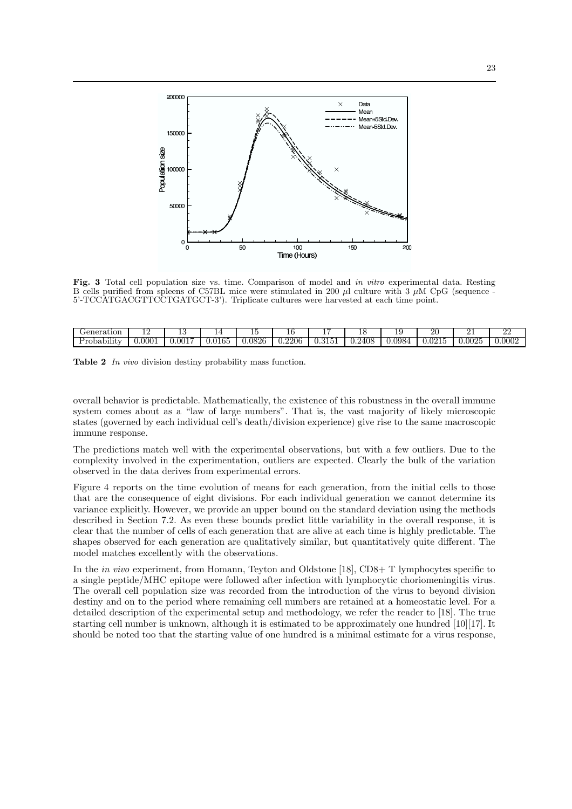

Fig. 3 Total cell population size vs. time. Comparison of model and in vitro experimental data. Resting B cells purified from spleens of C57BL mice were stimulated in 200  $\mu$ l culture with 3  $\mu$ M CpG (sequence -5'-TCCATGACGTTCCTGATGCT-3'). Triplicate cultures were harvested at each time point.

| atıon | --   | . .<br>$\sim$ |                              | <b>I</b>         | τc   |     | .              | .   | -26 |              | .<br>-- |
|-------|------|---------------|------------------------------|------------------|------|-----|----------------|-----|-----|--------------|---------|
|       | 000. | -0017         | $\sim$ $\sim$ $\sim$<br>10.7 | ഹ<br>$^{\prime}$ | 2206 | --- | $\sim$<br>{40} | ገባዴ |     | ۱O۴<br>OO 12 |         |

|  |  |  |  |  | Table 2 In vivo division destiny probability mass function. |
|--|--|--|--|--|-------------------------------------------------------------|
|--|--|--|--|--|-------------------------------------------------------------|

overall behavior is predictable. Mathematically, the existence of this robustness in the overall immune system comes about as a "law of large numbers". That is, the vast majority of likely microscopic states (governed by each individual cell's death/division experience) give rise to the same macroscopic immune response.

The predictions match well with the experimental observations, but with a few outliers. Due to the complexity involved in the experimentation, outliers are expected. Clearly the bulk of the variation observed in the data derives from experimental errors.

Figure 4 reports on the time evolution of means for each generation, from the initial cells to those that are the consequence of eight divisions. For each individual generation we cannot determine its variance explicitly. However, we provide an upper bound on the standard deviation using the methods described in Section 7.2. As even these bounds predict little variability in the overall response, it is clear that the number of cells of each generation that are alive at each time is highly predictable. The shapes observed for each generation are qualitatively similar, but quantitatively quite different. The model matches excellently with the observations.

In the in vivo experiment, from Homann, Teyton and Oldstone [18], CD8+ T lymphocytes specific to a single peptide/MHC epitope were followed after infection with lymphocytic choriomeningitis virus. The overall cell population size was recorded from the introduction of the virus to beyond division destiny and on to the period where remaining cell numbers are retained at a homeostatic level. For a detailed description of the experimental setup and methodology, we refer the reader to [18]. The true starting cell number is unknown, although it is estimated to be approximately one hundred [10][17]. It should be noted too that the starting value of one hundred is a minimal estimate for a virus response,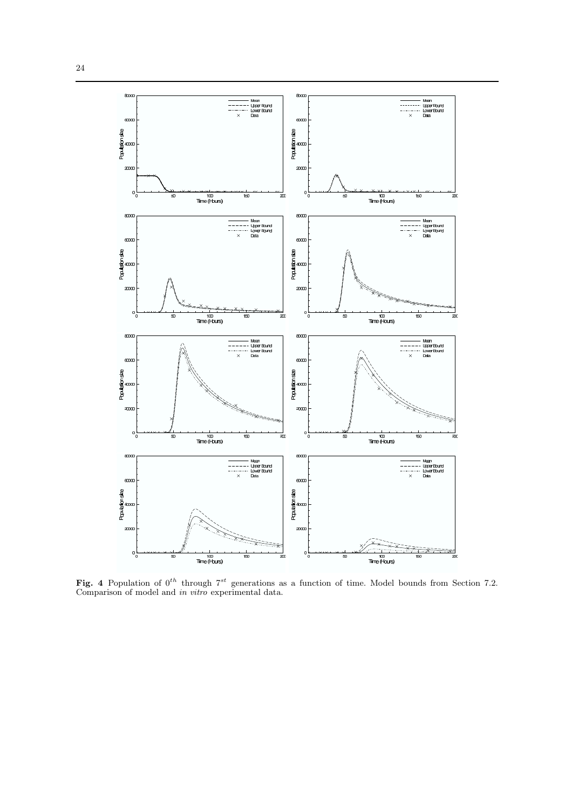

Fig. 4 Population of  $0^{th}$  through  $7^{st}$  generations as a function of time. Model bounds from Section 7.2. Comparison of model and in vitro experimental data.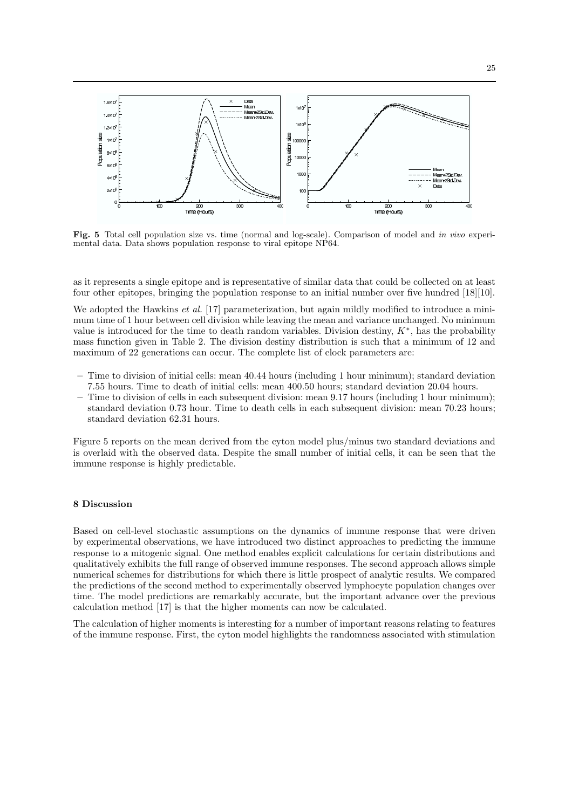

Fig. 5 Total cell population size vs. time (normal and log-scale). Comparison of model and in vivo experimental data. Data shows population response to viral epitope NP64.

as it represents a single epitope and is representative of similar data that could be collected on at least four other epitopes, bringing the population response to an initial number over five hundred [18][10].

We adopted the Hawkins *et al.* [17] parameterization, but again mildly modified to introduce a minimum time of 1 hour between cell division while leaving the mean and variance unchanged. No minimum value is introduced for the time to death random variables. Division destiny,  $K^*$ , has the probability mass function given in Table 2. The division destiny distribution is such that a minimum of 12 and maximum of 22 generations can occur. The complete list of clock parameters are:

- Time to division of initial cells: mean 40.44 hours (including 1 hour minimum); standard deviation 7.55 hours. Time to death of initial cells: mean 400.50 hours; standard deviation 20.04 hours.
- Time to division of cells in each subsequent division: mean 9.17 hours (including 1 hour minimum); standard deviation 0.73 hour. Time to death cells in each subsequent division: mean 70.23 hours; standard deviation 62.31 hours.

Figure 5 reports on the mean derived from the cyton model plus/minus two standard deviations and is overlaid with the observed data. Despite the small number of initial cells, it can be seen that the immune response is highly predictable.

## 8 Discussion

Based on cell-level stochastic assumptions on the dynamics of immune response that were driven by experimental observations, we have introduced two distinct approaches to predicting the immune response to a mitogenic signal. One method enables explicit calculations for certain distributions and qualitatively exhibits the full range of observed immune responses. The second approach allows simple numerical schemes for distributions for which there is little prospect of analytic results. We compared the predictions of the second method to experimentally observed lymphocyte population changes over time. The model predictions are remarkably accurate, but the important advance over the previous calculation method [17] is that the higher moments can now be calculated.

The calculation of higher moments is interesting for a number of important reasons relating to features of the immune response. First, the cyton model highlights the randomness associated with stimulation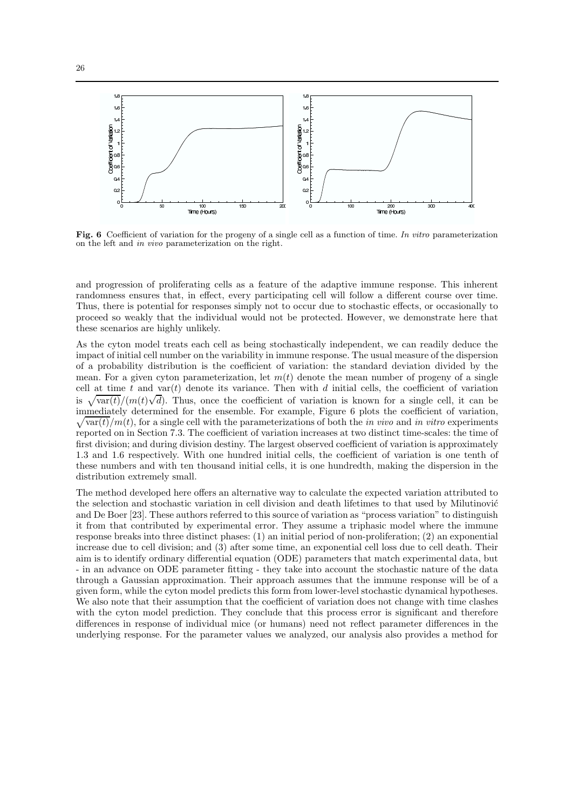

Fig. 6 Coefficient of variation for the progeny of a single cell as a function of time. In vitro parameterization on the left and in vivo parameterization on the right.

and progression of proliferating cells as a feature of the adaptive immune response. This inherent randomness ensures that, in effect, every participating cell will follow a different course over time. Thus, there is potential for responses simply not to occur due to stochastic effects, or occasionally to proceed so weakly that the individual would not be protected. However, we demonstrate here that these scenarios are highly unlikely.

As the cyton model treats each cell as being stochastically independent, we can readily deduce the impact of initial cell number on the variability in immune response. The usual measure of the dispersion of a probability distribution is the coefficient of variation: the standard deviation divided by the mean. For a given cyton parameterization, let  $m(t)$  denote the mean number of progeny of a single cell at time t and var $(t)$  denote its variance. Then with d initial cells, the coefficient of variation is  $\sqrt{\text{var}(t)}/(m(t)\sqrt{d})$ . Thus, once the coefficient of variation is known for a single cell, it can be immediately determined for the ensemble. For example, Figure 6 plots the coefficient of variation,  $\sqrt{\text{var}(t)}/m(t)$ , for a single cell with the parameterizations of both the in vivo and in vitro experiments reported on in Section 7.3. The coefficient of variation increases at two distinct time-scales: the time of first division; and during division destiny. The largest observed coefficient of variation is approximately 1.3 and 1.6 respectively. With one hundred initial cells, the coefficient of variation is one tenth of these numbers and with ten thousand initial cells, it is one hundredth, making the dispersion in the distribution extremely small.

The method developed here offers an alternative way to calculate the expected variation attributed to the selection and stochastic variation in cell division and death lifetimes to that used by Milutinović and De Boer [23]. These authors referred to this source of variation as "process variation" to distinguish it from that contributed by experimental error. They assume a triphasic model where the immune response breaks into three distinct phases: (1) an initial period of non-proliferation; (2) an exponential increase due to cell division; and (3) after some time, an exponential cell loss due to cell death. Their aim is to identify ordinary differential equation (ODE) parameters that match experimental data, but - in an advance on ODE parameter fitting - they take into account the stochastic nature of the data through a Gaussian approximation. Their approach assumes that the immune response will be of a given form, while the cyton model predicts this form from lower-level stochastic dynamical hypotheses. We also note that their assumption that the coefficient of variation does not change with time clashes with the cyton model prediction. They conclude that this process error is significant and therefore differences in response of individual mice (or humans) need not reflect parameter differences in the underlying response. For the parameter values we analyzed, our analysis also provides a method for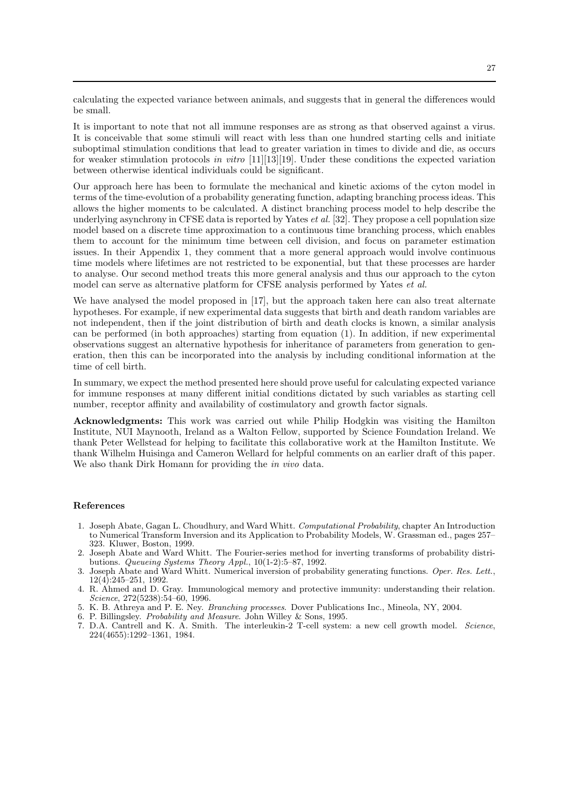calculating the expected variance between animals, and suggests that in general the differences would be small.

It is important to note that not all immune responses are as strong as that observed against a virus. It is conceivable that some stimuli will react with less than one hundred starting cells and initiate suboptimal stimulation conditions that lead to greater variation in times to divide and die, as occurs for weaker stimulation protocols in vitro  $[11][13][19]$ . Under these conditions the expected variation between otherwise identical individuals could be significant.

Our approach here has been to formulate the mechanical and kinetic axioms of the cyton model in terms of the time-evolution of a probability generating function, adapting branching process ideas. This allows the higher moments to be calculated. A distinct branching process model to help describe the underlying asynchrony in CFSE data is reported by Yates et al. [32]. They propose a cell population size model based on a discrete time approximation to a continuous time branching process, which enables them to account for the minimum time between cell division, and focus on parameter estimation issues. In their Appendix 1, they comment that a more general approach would involve continuous time models where lifetimes are not restricted to be exponential, but that these processes are harder to analyse. Our second method treats this more general analysis and thus our approach to the cyton model can serve as alternative platform for CFSE analysis performed by Yates et al.

We have analysed the model proposed in [17], but the approach taken here can also treat alternate hypotheses. For example, if new experimental data suggests that birth and death random variables are not independent, then if the joint distribution of birth and death clocks is known, a similar analysis can be performed (in both approaches) starting from equation (1). In addition, if new experimental observations suggest an alternative hypothesis for inheritance of parameters from generation to generation, then this can be incorporated into the analysis by including conditional information at the time of cell birth.

In summary, we expect the method presented here should prove useful for calculating expected variance for immune responses at many different initial conditions dictated by such variables as starting cell number, receptor affinity and availability of costimulatory and growth factor signals.

Acknowledgments: This work was carried out while Philip Hodgkin was visiting the Hamilton Institute, NUI Maynooth, Ireland as a Walton Fellow, supported by Science Foundation Ireland. We thank Peter Wellstead for helping to facilitate this collaborative work at the Hamilton Institute. We thank Wilhelm Huisinga and Cameron Wellard for helpful comments on an earlier draft of this paper. We also thank Dirk Homann for providing the *in vivo* data.

#### References

- 1. Joseph Abate, Gagan L. Choudhury, and Ward Whitt. Computational Probability, chapter An Introduction to Numerical Transform Inversion and its Application to Probability Models, W. Grassman ed., pages 257– 323. Kluwer, Boston, 1999.
- 2. Joseph Abate and Ward Whitt. The Fourier-series method for inverting transforms of probability distributions. Queueing Systems Theory Appl., 10(1-2):5–87, 1992.
- 3. Joseph Abate and Ward Whitt. Numerical inversion of probability generating functions. Oper. Res. Lett.,  $12(4)$ :245–251, 1992.
- 4. R. Ahmed and D. Gray. Immunological memory and protective immunity: understanding their relation. Science, 272(5238):54–60, 1996.
- 5. K. B. Athreya and P. E. Ney. Branching processes. Dover Publications Inc., Mineola, NY, 2004.
- 6. P. Billingsley. Probability and Measure. John Willey & Sons, 1995.
- 7. D.A. Cantrell and K. A. Smith. The interleukin-2 T-cell system: a new cell growth model. Science, 224(4655):1292–1361, 1984.